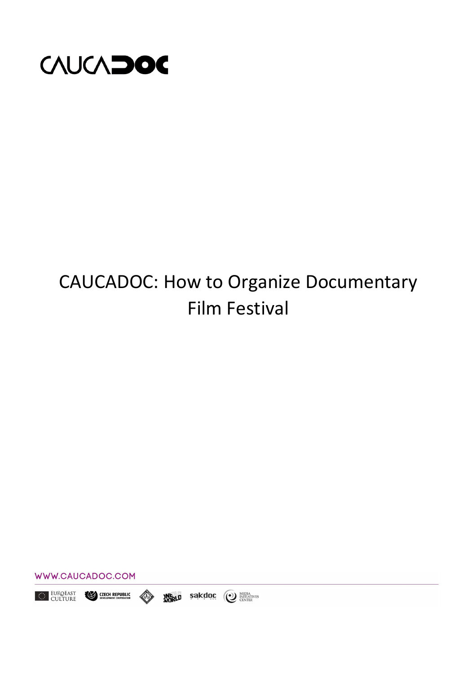

## CAUCADOC: How to Organize Documentary Film Festival



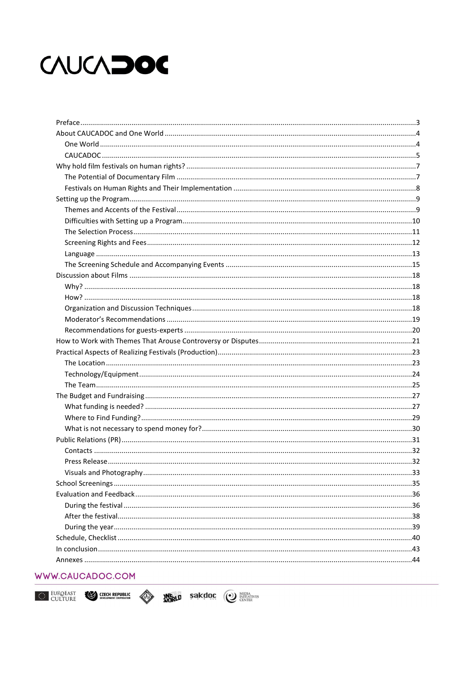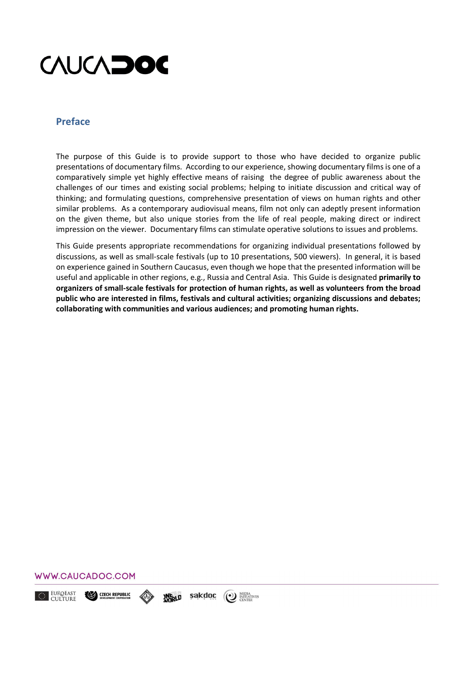

### **Preface**

The purpose of this Guide is to provide support to those who have decided to organize public presentations of documentary films. According to our experience, showing documentary films is one of a comparatively simple yet highly effective means of raising the degree of public awareness about the challenges of our times and existing social problems; helping to initiate discussion and critical way of thinking; and formulating questions, comprehensive presentation of views on human rights and other similar problems. As a contemporary audiovisual means, film not only can adeptly present information on the given theme, but also unique stories from the life of real people, making direct or indirect impression on the viewer. Documentary films can stimulate operative solutions to issues and problems.

This Guide presents appropriate recommendations for organizing individual presentations followed by discussions, аs well as small-scale festivals (up to 10 presentations, 500 viewers). In general, it is based on experience gained in Southern Caucasus, even though we hope that the presented information will be useful and applicable in other regions, e.g., Russia and Central Asia. This Guide is designated **primarily to organizers of small-scale festivals for protection of human rights, аs well as volunteers from the broad public who are interested in films, festivals and cultural activities; organizing discussions and debates; collaborating with communities and various audiences; and promoting human rights.** 



EUROEAST CZECH REPUBLIC sakdoc (1) MEDIA<br>CENTER **ANGRLD**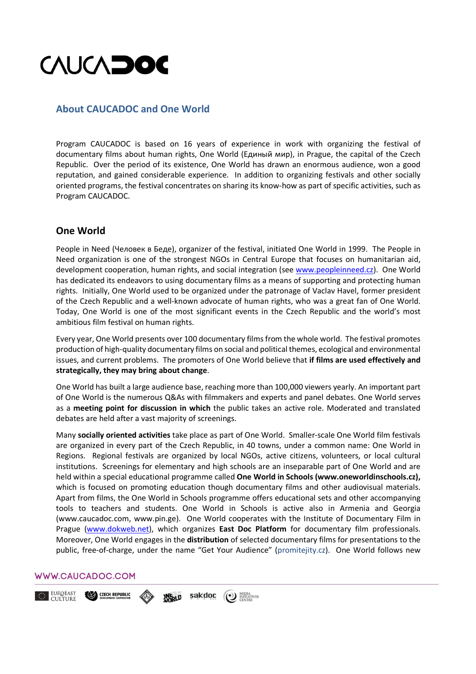

## **About CAUCADOC and One World**

Program CAUCADOC is based on 16 years of experience in work with organizing the festival of documentary films about human rights, One World (Единый мир), in Prague, the capital of the Czech Republic. Over the period of its existence, One World has drawn an enormous audience, won a good reputation, and gained considerable experience. In addition to organizing festivals and other socially oriented programs, the festival concentrates on sharing its know-how as part of specific activities, such as Program CAUCADOC.

## **One World**

People in Need (Человек в Беде), organizer of the festival, initiated One World in 1999. The People in Need organization is one of the strongest NGOs in Central Europe that focuses on humanitarian aid, development cooperation, human rights, and social integration (see www.peopleinneed.cz). One World has dedicated its endeavors to using documentary films as a means of supporting and protecting human rights. Initially, One World used to be organized under the patronage of Vaclav Havel, former president of the Czech Republic and a well-known advocate of human rights, who was a great fan of One World. Today, One World is one of the most significant events in the Czech Republic and the world's most ambitious film festival оn human rights.

Every year, One World presents over 100 documentary films from the whole world. The festival promotes production of high-quality documentary films on social and political themes, ecological and environmental issues, and current problems. The promoters of One World believe that **if films are used effectively and strategically, they may bring about change**.

One World has built a large audience base, reaching more than 100,000 viewers yearly. An important part of One World is the numerous Q&As with filmmakers and experts and panel debates. One World serves as a **meeting point for discussion in which** the public takes an active role. Moderated and translated debates are held after a vast majority of screenings.

Many **socially oriented activities** take place as part of One World. Smaller-scale One World film festivals are organized in every part of the Czech Republic, in 40 towns, under a common name: One World in Regions. Regional festivals are organized by local NGOs, active citizens, volunteers, or local cultural institutions. Screenings for elementary and high schools are an inseparable part of One World and are held within a special educational programme called **One World in Schools (www.oneworldinschools.cz),**  which is focused on promoting education though documentary films and other audiovisual materials. Apart from films, the One World in Schools programme offers educational sets and other accompanying tools to teachers and students. One World in Schools is active also in Armenia and Georgia (www.caucadoc.com, www.pin.ge). One World cooperates with the Institute of Documentary Film in Prague (www.dokweb.net), which organizes **East Doc Platform** for documentary film professionals. Moreover, One World engages in the **distribution** of selected documentary films for presentations to the public, free-of-charge, under the name "Get Your Audience" (promitejity.cz). One World follows new

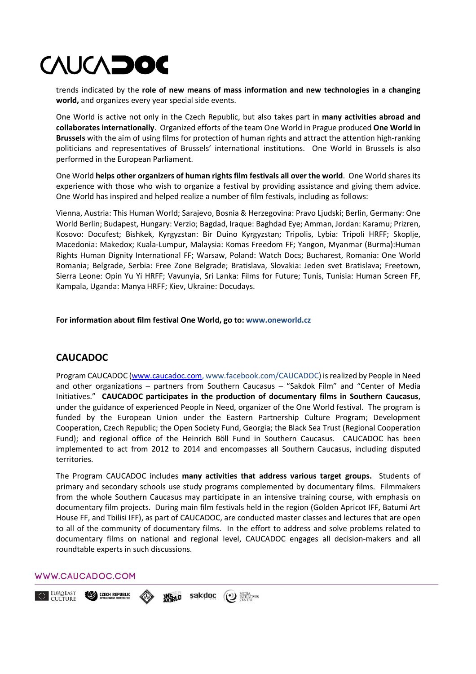trends indicated by the **role of new means of mass information and new technologies in a changing world,** and organizes every year special side events.

One World is active not only in the Czech Republic, but also takes part in **many activities abroad and collaborates internationally**. Organized efforts of the team One World in Prague produced **One World in Brussels** with the aim of using films for protection of human rights and attract the attention high-ranking politicians and representatives of Brussels' international institutions. One World in Brussels is also performed in the European Parliament.

One World **helps other organizers of human rights film festivals all over the world**. One World shares its experience with those who wish to organize a festival by providing assistance and giving them advice. One World has inspired and helped realize a number of film festivals, including as follows:

Vienna, Austria: This Human World; Sarajevo, Bosnia & Herzegovina: Pravo Ljudski; Berlin, Germany: One World Berlin; Budapest, Hungary: Verzio; Bagdad, Iraque: Baghdad Eye; Amman, Jordan: Karamu; Prizren, Kosovo: Docufest; Bishkek, Kyrgyzstan: Bir Duino Kyrgyzstan; Tripolis, Lybia: Tripoli HRFF; Skoplje, Macedonia: Makedox; Kuala-Lumpur, Malaysia: Komas Freedom FF; Yangon, Myanmar (Burma):Human Rights Human Dignity International FF; Warsaw, Poland: Watch Docs; Bucharest, Romania: One World Romania; Belgrade, Serbia: Free Zone Belgrade; Bratislava, Slovakia: Jeden svet Bratislava; Freetown, Sierra Leone: Opin Yu Yi HRFF; Vavunyia, Sri Lanka: Films for Future; Tunis, Tunisia: Human Screen FF, Kampala, Uganda: Manya HRFF; Kiev, Ukraine: Docudays.

**For information about film festival One World, go to: www.oneworld.cz**

## **CAUCADOC**

Program CAUCADOC (www.caucadoc.com, www.facebook.com/CAUCADOC) is realized by People in Need and other organizations – partners from Southern Caucasus – "Sakdok Film" and "Center of Media Initiatives." **CAUCADOC participates in the production of documentary films in Southern Caucasus**, under the guidance of experienced People in Need, organizer of the One World festival. The program is funded by the European Union under the Eastern Partnership Culture Program; Development Cooperation, Czech Republic; the Open Society Fund, Georgia; the Black Sea Trust (Regional Cooperation Fund); and regional office of the Heinrich Böll Fund in Southern Caucasus. CAUCADOC has been implemented to act from 2012 to 2014 and encompasses all Southern Caucasus, including disputed territories.

The Program CAUCADOC includes **many activities that address various target groups.** Students of primary and secondary schools use study programs complemented by documentary films. Filmmakers from the whole Southern Caucasus may participate in an intensive training course, with emphasis on documentary film projects. During main film festivals held in the region (Golden Apricot IFF, Batumi Art House FF, and Tbilisi IFF), as part of CAUCADOC, are conducted master classes and lectures that are open to all of the community of documentary films. In the effort to address and solve problems related to documentary films on national and regional level, CAUCADOC engages all decision-makers and all roundtable experts in such discussions.

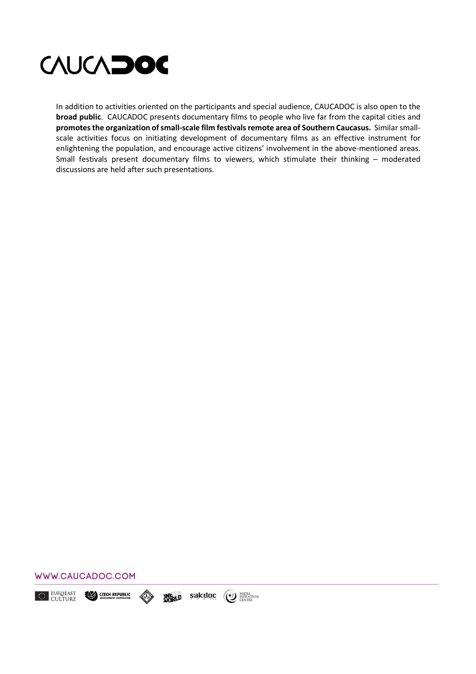

In addition to activities oriented on the participants and special audience, CAUCADOC is also open to the **broad public**. CAUCADOC presents documentary films to people who live far from the capital cities and **promotes the organization of small-scale film festivals remote area of Southern Caucasus.** Similar smallscale activities focus on initiating development of documentary films as an effective instrument for enlightening the population, and encourage active citizens' involvement in the above-mentioned areas. Small festivals present documentary films to viewers, which stimulate their thinking – moderated discussions are held after such presentations.



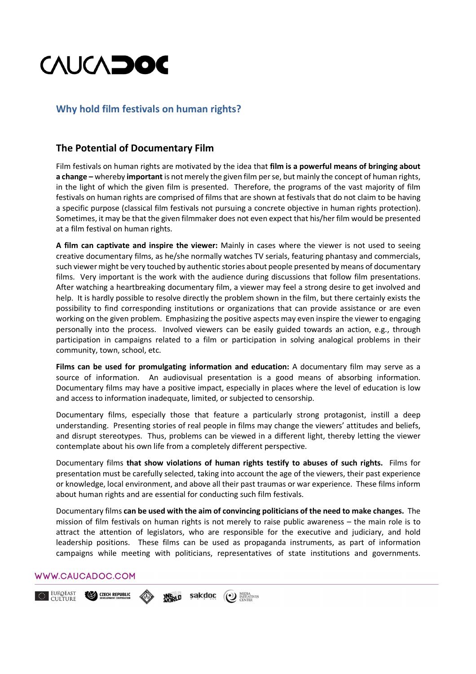## **Why hold film festivals оn human rights?**

## **The Potential of Documentary Film**

Film festivals оn human rights are motivated by the idea that **film is a powerful means of bringing about a change –** whereby **important** is not merely the given film per se, but mainly the concept of human rights, in the light of which the given film is presented. Therefore, the programs of the vast majority of film festivals on human rights are comprised of films that are shown at festivals that do not claim to be having a specific purpose (classical film festivals not pursuing a concrete objective in human rights protection). Sometimes, it may be that the given filmmaker does not even expect that his/her film would be presented at a film festival оn human rights.

**A film can captivate and inspire the viewer:** Mainly in cases where the viewer is not used to seeing creative documentary films, аs he/she normally watches TV serials, featuring phantasy and commercials, such viewer might be very touched by authentic stories about people presented by means of documentary films. Very important is the work with the audience during discussions that follow film presentations. After watching a heartbreaking documentary film, a viewer may feel a strong desire to get involved and help. It is hardly possible to resolve directly the problem shown in the film, but there certainly exists the possibility to find corresponding institutions or organizations that can provide assistance or are even working on the given problem. Emphasizing the positive aspects may even inspire the viewer to engaging personally into the process. Involved viewers can be easily guided towards an action, e.g., through participation in campaigns related to a film or participation in solving analogical problems in their community, town, school, etc.

**Films can be used for promulgating information and education:** A documentary film may serve as a source of information. An audiovisual presentation is a good means of absorbing information. Documentary films may have a positive impact, especially in places where the level of education is low and access to information inadequate, limited, or subjected to censorship.

Documentary films, especially those that feature a particularly strong protagonist, instill a deep understanding. Presenting stories of real people in films may change the viewers' attitudes and beliefs, and disrupt stereotypes. Thus, problems can be viewed in a different light, thereby letting the viewer contemplate about his own life from a completely different perspective.

Documentary films **that show violations of human rights testify to abuses of such rights.** Films for presentation must be carefully selected, taking into account the age of the viewers, their past experience or knowledge, local environment, and above all their past traumas or war experience. These films inform about human rights and are essential for conducting such film festivals.

Documentary films **can be used with the aim of convincing politicians of the need to make changes.** The mission of film festivals on human rights is not merely to raise public awareness – the main role is to attract the attention of legislators, who are responsible for the executive and judiciary, and hold leadership positions. These films can be used as propaganda instruments, as part of information campaigns while meeting with politicians, representatives of state institutions and governments.

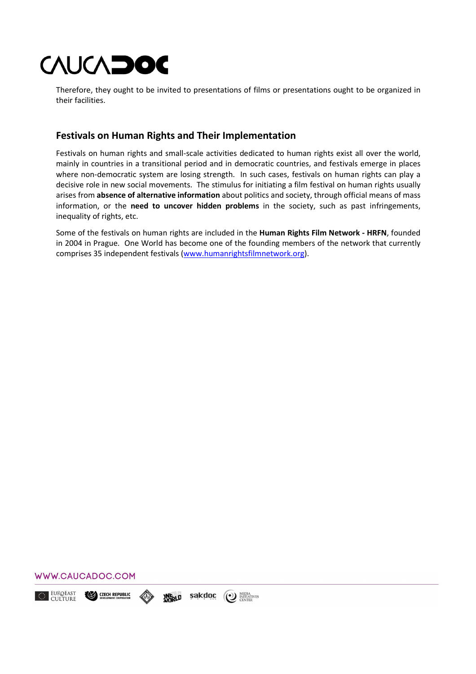Therefore, they ought to be invited to presentations of films or presentations ought to be organized in their facilities.

## **Festivals оn Human Rights and Their Implementation**

Festivals оn human rights and small-scale activities dedicated to human rights exist all over the world, mainly in countries in a transitional period and in democratic countries, and festivals emerge in places where non-democratic system are losing strength. In such cases, festivals on human rights can play a decisive role in new social movements. The stimulus for initiating a film festival on human rights usually arises from **absence of alternative information** about politics and society, through official means of mass information, or the **need to uncover hidden problems** in the society, such as past infringements, inequality of rights, etc.

Some of the festivals on human rights are included in the **Human Rights Film Network - HRFN**, founded in 2004 in Prague. One World has become one of the founding members of the network that currently comprises 35 independent festivals (www.humanrightsfilmnetwork.org).

#### WWW.CAUCADOC.COM

EUROEAST **CZECH REPUBLIC** sakdoc (2) MEDIA<br>
CENTER **ANGRLD**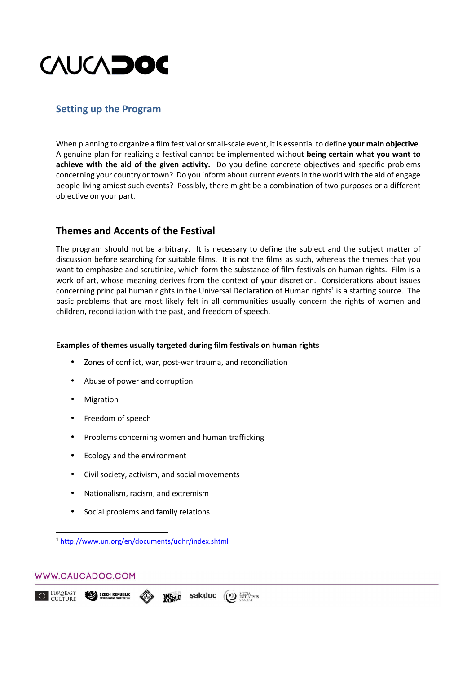

## **Setting up the Program**

When planning to organize a film festival or small-scale event, it is essential to define **your main objective**. A genuine plan for realizing a festival cannot be implemented without **being certain what you want to achieve with the aid of the given activity.** Do you define concrete objectives and specific problems concerning your country or town? Do you inform about current events in the world with the aid of engage people living amidst such events? Possibly, there might be a combination of two purposes or a different objective on your part.

## **Themes and Accents of the Festival**

The program should not be arbitrary. It is necessary to define the subject and the subject matter of discussion before searching for suitable films. It is not the films as such, whereas the themes that you want to emphasize and scrutinize, which form the substance of film festivals on human rights. Film is a work of art, whose meaning derives from the context of your discretion. Considerations about issues concerning principal human rights in the Universal Declaration of Human rights<sup>1</sup> is a starting source. The basic problems that are most likely felt in all communities usually concern the rights of women and children, reconciliation with the past, and freedom of speech.

#### **Examples of themes usually targeted during film festivals on human rights**

- Zones of conflict, war, post-war trauma, and reconciliation
- Abuse of power and corruption
- **Migration**
- Freedom of speech
- Problems concerning women and human trafficking
- Ecology and the environment
- Civil society, activism, and social movements
- Nationalism, racism, and extremism
- Social problems and family relations

#### WWW.CAUCADOC.COM

<u>.</u>

<sup>1</sup> http://www.un.org/en/documents/udhr/index.shtml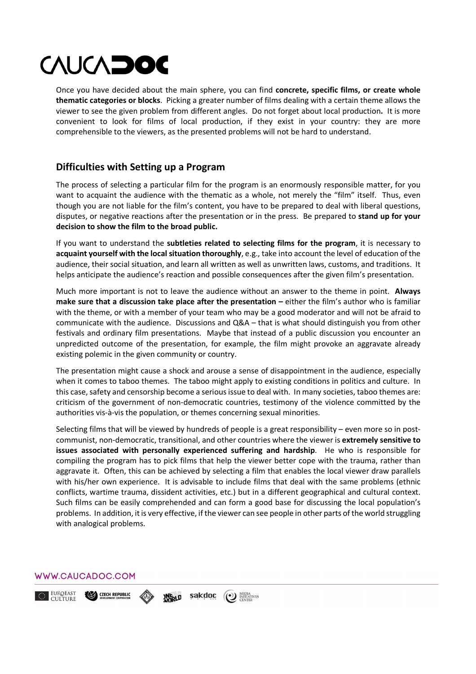Once you have decided about the main sphere, you can find **concrete, specific films, or create whole thematic categories or blocks**. Picking a greater number of films dealing with a certain theme allows the viewer to see the given problem from different angles. Do not forget about local production**.** It is more convenient to look for films of local production, if they exist in your country: they are more comprehensible to the viewers, as the presented problems will not be hard to understand.

## **Difficulties with Setting up a Program**

The process of selecting a particular film for the program is an enormously responsible matter, for you want to acquaint the audience with the thematic as a whole, not merely the "film" itself. Thus, even though you are not liable for the film's content, you have to be prepared to deal with liberal questions, disputes, or negative reactions after the presentation or in the press. Be prepared to **stand up for your decision to show the film to the broad public.** 

If you want to understand the **subtleties related to selecting films for the program**, it is necessary to **acquaint yourself with the local situation thoroughly**, e.g., take into account the level of education of the audience, their social situation, and learn all written as well as unwritten laws, customs, and traditions. It helps anticipate the audience's reaction and possible consequences after the given film's presentation.

Much more important is not to leave the audience without an answer to the theme in point. **Always make sure that a discussion take place after the presentation –** either the film's author who is familiar with the theme, or with a member of your team who may be a good moderator and will not be afraid to communicate with the audience. Discussions and Q&A – that is what should distinguish you from other festivals and ordinary film presentations. Maybe that instead of a public discussion you encounter an unpredicted outcome of the presentation, for example, the film might provoke an aggravate already existing polemic in the given community or country.

The presentation might cause a shock and arouse a sense of disappointment in the audience, especially when it comes to taboo themes. The taboo might apply to existing conditions in politics and culture. In this case, safety and censorship become a serious issue to deal with. In many societies, taboo themes are: criticism of the government of non-democratic countries, testimony of the violence committed by the authorities vis-à-vis the population, or themes concerning sexual minorities.

Selecting films that will be viewed by hundreds of people is a great responsibility – even more so in postcommunist, non-democratic, transitional, and other countries where the viewer is **extremely sensitive to issues associated with personally experienced suffering and hardship**. He who is responsible for compiling the program has to pick films that help the viewer better cope with the trauma, rather than aggravate it. Often, this can be achieved by selecting a film that enables the local viewer draw parallels with his/her own experience. It is advisable to include films that deal with the same problems (ethnic conflicts, wartime trauma, dissident activities, etc.) but in a different geographical and cultural context. Such films can be easily comprehended and can form a good base for discussing the local population's problems. In addition, it is very effective, if the viewer can see people in other parts of the world struggling with analogical problems.

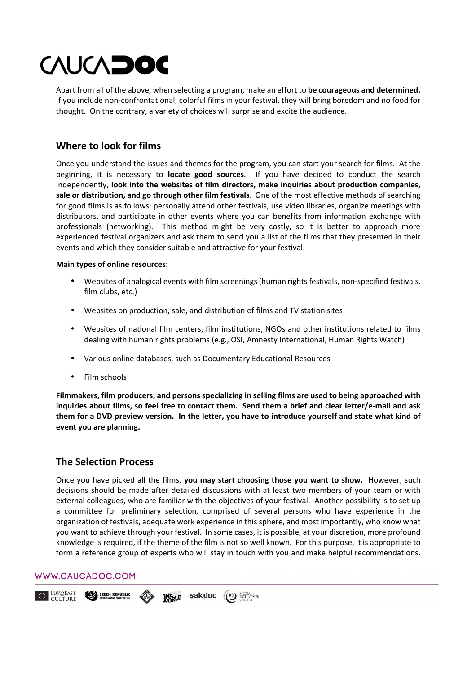Apart from all of the above, when selecting a program, make an effort to **be courageous and determined.**  If you include non-confrontational, colorful films in your festival, they will bring boredom and no food for thought. On the contrary, a variety of choices will surprise and excite the audience.

## **Where to look for films**

Once you understand the issues and themes for the program, you can start your search for films. At the beginning, it is necessary to **locate good sources**. If you have decided to conduct the search independently, **look into the websites of film directors, make inquiries about production companies, sale or distribution, and go through other film festivals**. One of the most effective methods of searching for good films is as follows: personally attend other festivals, use video libraries, organize meetings with distributors, and participate in other events where you can benefits from information exchange with professionals (networking). This method might be very costly, so it is better to approach more experienced festival organizers and ask them to send you a list of the films that they presented in their events and which they consider suitable and attractive for your festival.

### **Main types of online resources:**

- Websites of analogical events with film screenings (human rights festivals, non-specified festivals, film clubs, etc.)
- Websites on production, sale, and distribution of films and TV station sites
- Websites of national film centers, film institutions, NGOs and other institutions related to films dealing with human rights problems (e.g., OSI, Amnesty International, Human Rights Watch)
- Various online databases, such as Documentary Educational Resources
- Film schools

**Filmmakers, film producers, and persons specializing in selling films are used to being approached with inquiries about films, so feel free to contact them. Send them a brief and clear letter/e-mail and ask them for a DVD preview version. In the letter, you have to introduce yourself and state what kind of event you are planning.** 

## **The Selection Process**

Once you have picked all the films, **you may start choosing those you want to show.** However, such decisions should be made after detailed discussions with at least two members of your team or with external colleagues, who are familiar with the objectives of your festival. Another possibility is to set up a committee for preliminary selection, comprised of several persons who have experience in the organization of festivals, adequate work experience in this sphere, and most importantly, who know what you want to achieve through your festival. In some cases, it is possible, at your discretion, more profound knowledge is required, if the theme of the film is not so well known. For this purpose, it is appropriate to form a reference group of experts who will stay in touch with you and make helpful recommendations.

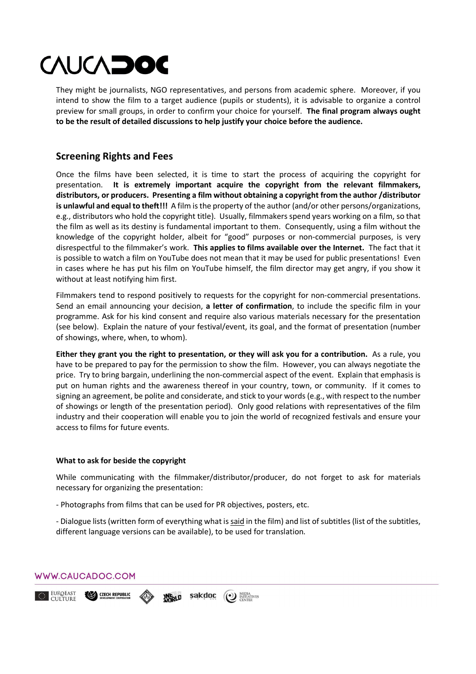They might be journalists, NGO representatives, and persons from academic sphere. Moreover, if you intend to show the film to a target audience (pupils or students), it is advisable to organize a control preview for small groups, in order to confirm your choice for yourself. **The final program always ought to be the result of detailed discussions to help justify your choice before the audience.** 

## **Screening Rights and Fees**

Once the films have been selected, it is time to start the process of acquiring the copyright for presentation. **It is extremely important acquire the copyright from the relevant filmmakers, distributors, or producers. Presenting a film without obtaining a copyright from the author /distributor is unlawful and equal to theft!!!** A film is the property of the author (and/or other persons/organizations, e.g., distributors who hold the copyright title). Usually, filmmakers spend years working on a film, so that the film as well as its destiny is fundamental important to them. Consequently, using a film without the knowledge of the copyright holder, albeit for "good" purposes or non-commercial purposes, is very disrespectful to the filmmaker's work. **This applies to films available over the Internet.** Тhe fact that it is possible to watch a film on YouTube does not mean that it may be used for public presentations! Even in cases where he has put his film on YouTube himself, the film director may get angry, if you show it without at least notifying him first.

Filmmakers tend to respond positively to requests for the copyright for non-commercial presentations. Send an email announcing your decision, **a letter of confirmation**, to include the specific film in your programme. Ask for his kind consent and require also various materials necessary for the presentation (see below). Explain the nature of your festival/event, its goal, and the format of presentation (number of showings, where, when, to whom).

**Either they grant you the right to presentation, or they will ask you for a contribution.** As a rule, you have to be prepared to pay for the permission to show the film. However, you can always negotiate the price. Try to bring bargain, underlining the non-commercial aspect of the event. Explain that emphasis is put on human rights and the awareness thereof in your country, town, or community. If it comes to signing an agreement, be polite and considerate, and stick to your words (e.g., with respect to the number of showings or length of the presentation period). Only good relations with representatives of the film industry and their cooperation will enable you to join the world of recognized festivals and ensure your access to films for future events.

#### **What to ask for beside the copyright**

While communicating with the filmmaker/distributor/producer, do not forget to ask for materials necessary for organizing the presentation:

- Photographs from films that can be used for PR objectives, posters, etc.

- Dialogue lists (written form of everything what is said in the film) and list of subtitles (list of the subtitles, different language versions can be available), to be used for translation.

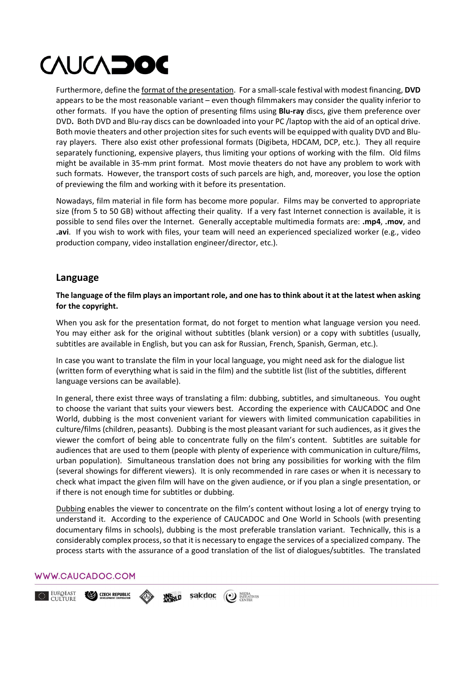Furthermore, define the format of the presentation. For a small-scale festival with modest financing, **DVD** appears to be the most reasonable variant – even though filmmakers may consider the quality inferior to other formats. If you have the option of presenting films using **Blu-ray** discs, give them preference over DVD**.** Both DVD and Blu-ray discs can be downloaded into your PC /laptop with the aid of an optical drive. Both movie theaters and other projection sites for such events will be equipped with quality DVD and Bluray players. There also exist other professional formats (Digibeta, HDCAM, DCP, etc.). They all require separately functioning, expensive players, thus limiting your options of working with the film. Old films might be available in 35-mm print format. Most movie theaters do not have any problem to work with such formats. However, the transport costs of such parcels are high, and, moreover, you lose the option of previewing the film and working with it before its presentation.

Nowadays, film material in file form has become more popular. Films may be converted to appropriate size (from 5 to 50 GB) without affecting their quality. If a very fast Internet connection is available, it is possible to send files over the Internet. Generally acceptable multimedia formats are: **.mp4**, **.mov**, and **.avi**. If you wish to work with files, your team will need an experienced specialized worker (e.g., video production company, video installation engineer/director, etc.).

### **Language**

#### **The language of the film plays an important role, and one has to think about it at the latest when asking for the copyright.**

When you ask for the presentation format, do not forget to mention what language version you need. You may either ask for the original without subtitles (blank version) or a copy with subtitles (usually, subtitles are available in English, but you can ask for Russian, French, Spanish, German, etc.).

In case you want to translate the film in your local language, you might need ask for the dialogue list (written form of everything what is said in the film) and the subtitle list (list of the subtitles, different language versions can be available).

In general, there exist three ways of translating a film: dubbing, subtitles, and simultaneous. You ought to choose the variant that suits your viewers best. According the experience with CAUCADOC and One World, dubbing is the most convenient variant for viewers with limited communication capabilities in culture/films (children, peasants). Dubbing is the most pleasant variant for such audiences, as it gives the viewer the comfort of being able to concentrate fully on the film's content. Subtitles are suitable for audiences that are used to them (people with plenty of experience with communication in culture/films, urban population). Simultaneous translation does not bring any possibilities for working with the film (several showings for different viewers). It is only recommended in rare cases or when it is necessary to check what impact the given film will have on the given audience, or if you plan a single presentation, or if there is not enough time for subtitles or dubbing.

Dubbing enables the viewer to concentrate on the film's content without losing a lot of energy trying to understand it. According to the experience of CAUCADOC and One World in Schools (with presenting documentary films in schools), dubbing is the most preferable translation variant. Technically, this is a considerably complex process, so that it is necessary to engage the services of a specialized company. The process starts with the assurance of a good translation of the list of dialogues/subtitles. The translated

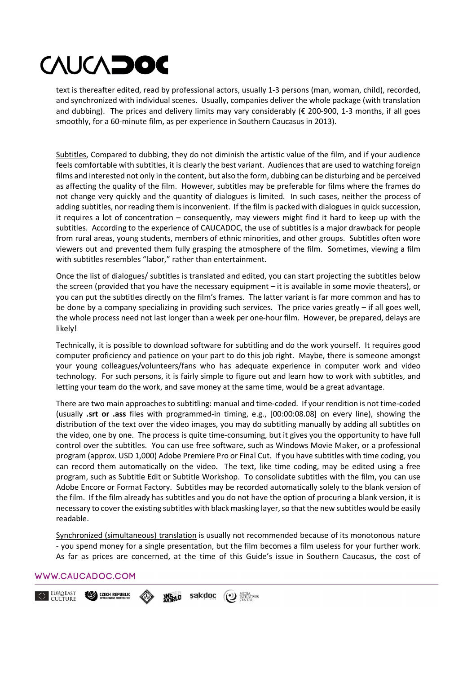text is thereafter edited, read by professional actors, usually 1-3 persons (man, woman, child), recorded, and synchronized with individual scenes. Usually, companies deliver the whole package (with translation and dubbing). The prices and delivery limits may vary considerably ( $\epsilon$  200-900, 1-3 months, if all goes smoothly, for a 60-minute film, as per experience in Southern Caucasus in 2013).

Subtitles, Compared to dubbing, they do not diminish the artistic value of the film, and if your audience feels comfortable with subtitles, it is clearly the best variant. Audiences that are used to watching foreign films and interested not only in the content, but also the form, dubbing can be disturbing and be perceived as affecting the quality of the film. However, subtitles may be preferable for films where the frames do not change very quickly and the quantity of dialogues is limited. In such cases, neither the process of adding subtitles, nor reading them is inconvenient. If the film is packed with dialogues in quick succession, it requires a lot of concentration – consequently, may viewers might find it hard to keep up with the subtitles. According to the experience of CAUCADOC, the use of subtitles is a major drawback for people from rural areas, young students, members of ethnic minorities, and other groups. Subtitles often wore viewers out and prevented them fully grasping the atmosphere of the film. Sometimes, viewing a film with subtitles resembles "labor," rather than entertainment.

Once the list of dialogues/ subtitles is translated and edited, you can start projecting the subtitles below the screen (provided that you have the necessary equipment – it is available in some movie theaters), or you can put the subtitles directly on the film's frames. The latter variant is far more common and has to be done by a company specializing in providing such services. The price varies greatly – if all goes well, the whole process need not last longer than a week per one-hour film. However, be prepared, delays are likely!

Technically, it is possible to download software for subtitling and do the work yourself. It requires good computer proficiency and patience on your part to do this job right. Maybe, there is someone amongst your young colleagues/volunteers/fans who has adequate experience in computer work and video technology. For such persons, it is fairly simple to figure out and learn how to work with subtitles, and letting your team do the work, and save money at the same time, would be a great advantage.

There are two main approaches to subtitling: manual and time-coded. If your rendition is not time-coded (usually **.srt or .ass** files with programmed-in timing, e.g., [00:00:08.08] on every line), showing the distribution of the text over the video images, you may do subtitling manually by adding all subtitles on the video, one by one. The process is quite time-consuming, but it gives you the opportunity to have full control over the subtitles. You can use free software, such as Windows Movie Maker, or a professional program (approx. USD 1,000) Adobe Premiere Pro or Final Cut. If you have subtitles with time coding, you can record them automatically on the video. Тhe text, like time coding, may be edited using a free program, such as Subtitle Edit or Subtitle Workshop. To consolidate subtitles with the film, you can use Adobe Encore or Format Factory. Subtitles may be recorded automatically solely to the blank version of the film. If the film already has subtitles and you do not have the option of procuring a blank version, it is necessary to cover the existing subtitles with black masking layer, so that the new subtitles would be easily readable.

Synchronized (simultaneous) translation is usually not recommended because of its monotonous nature - you spend money for a single presentation, but the film becomes а film useless for your further work. As far as prices are concerned, at the time of this Guide's issue in Southern Caucasus, the cost of

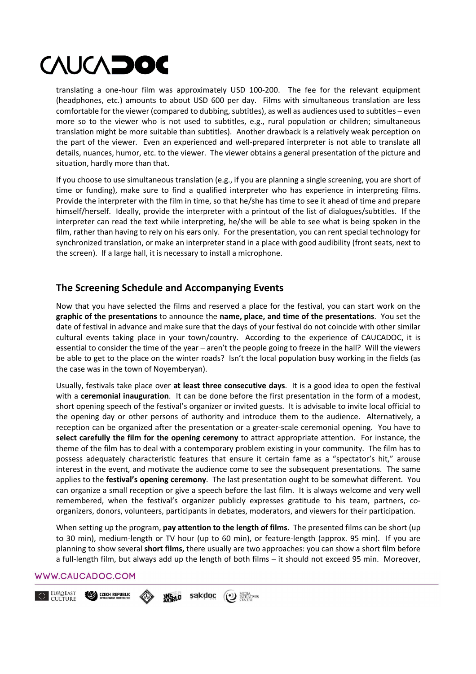translating a one-hour film was approximately USD 100-200. The fee for the relevant equipment (headphones, etc.) amounts to about USD 600 per day. Films with simultaneous translation are less comfortable for the viewer (compared to dubbing, subtitles), аs well as audiences used to subtitles – even more so to the viewer who is not used to subtitles, e.g., rural population or children; simultaneous translation might be more suitable than subtitles). Another drawback is a relatively weak perception on the part of the viewer. Even an experienced and well-prepared interpreter is not able to translate all details, nuances, humor, etc. to the viewer. The viewer obtains a general presentation of the picture and situation, hardly more than that.

If you choose to use simultaneous translation (e.g., if you are planning a single screening, you are short of time or funding), make sure to find a qualified interpreter who has experience in interpreting films. Provide the interpreter with the film in time, so that he/she has time to see it ahead of time and prepare himself/herself. Ideally, provide the interpreter with a printout of the list of dialogues/subtitles. If the interpreter can read the text while interpreting, he/she will be able to see what is being spoken in the film, rather than having to rely on his ears only. For the presentation, you can rent special technology for synchronized translation, or make an interpreter stand in a place with good audibility (front seats, next to the screen). If a large hall, it is necessary to install a microphone.

## **The Screening Schedule and Accompanying Events**

Now that you have selected the films and reserved a place for the festival, you can start work on the **graphic of the presentations** to announce the **name, place, and time of the presentations**. You set the date of festival in advance and make sure that the days of your festival do not coincide with other similar cultural events taking place in your town/country. According to the experience of CAUCADOC, it is essential to consider the time of the year – aren't the people going to freeze in the hall? Will the viewers be able to get to the place on the winter roads? Isn't the local population busy working in the fields (as the case was in the town of Noyemberyan).

Usually, festivals take place over **at least three consecutive days**. It is a good idea to open the festival with a **ceremonial inauguration**. It can be done before the first presentation in the form of a modest, short opening speech of the festival's organizer or invited guests. It is advisable to invite local official to the opening day or other persons of authority and introduce them to the audience. Alternatively, a reception can be organized after the presentation or a greater-scale ceremonial opening. You have to **select carefully the film for the opening ceremony** to attract appropriate attention. For instance, the theme of the film has to deal with a contemporary problem existing in your community. The film has to possess adequately characteristic features that ensure it certain fame as a "spectator's hit," arouse interest in the event, and motivate the audience come to see the subsequent presentations. Тhe same applies to the **festival's opening ceremony**. The last presentation ought to be somewhat different. You can organize a small reception or give a speech before the last film. It is always welcome and very well remembered, when the festival's organizer publicly expresses gratitude to his team, partners, соorganizers, donors, volunteers, participants in debates, moderators, and viewers for their participation.

When setting up the program, **pay attention to the length of films**. The presented films can be short (up to 30 min), medium-length or TV hour (up to 60 min), or feature-length (approx. 95 min). If you are planning to show several **short films,** there usually are two approaches: you can show a short film before a full-length film, but always add up the length of both films – it should not exceed 95 min. Moreover,

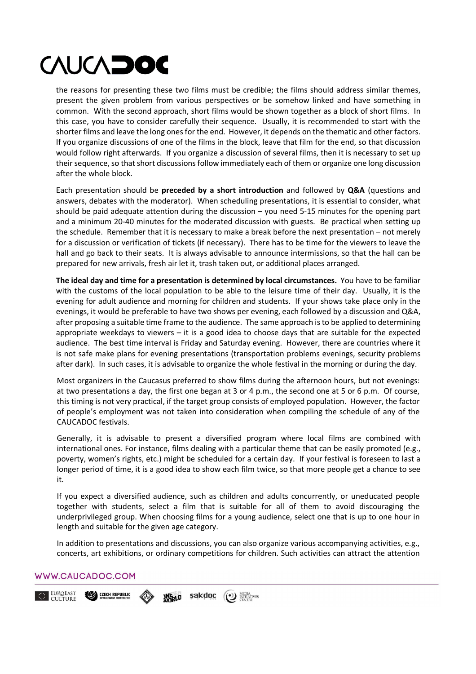the reasons for presenting these two films must be credible; the films should address similar themes, present the given problem from various perspectives or be somehow linked and have something in common. With the second approach, short films would be shown together as a block of short films. In this case, you have to consider carefully their sequence. Usually, it is recommended to start with the shorter films and leave the long ones for the end. However, it depends on the thematic and other factors. If you organize discussions of one of the films in the block, leave that film for the end, so that discussion would follow right afterwards. If you organize a discussion of several films, then it is necessary to set up their sequence, so that short discussions follow immediately each of them or organize one long discussion after the whole block.

Each presentation should be **preceded by a short introduction** and followed by **Q&A** (questions and answers, debates with the moderator). When scheduling presentations, it is essential to consider, what should be paid adequate attention during the discussion – you need 5-15 minutes for the opening part and a minimum 20-40 minutes for the moderated discussion with guests. Be practical when setting up the schedule. Remember that it is necessary to make a break before the next presentation – not merely for a discussion or verification of tickets (if necessary). There has to be time for the viewers to leave the hall and go back to their seats. It is always advisable to announce intermissions, so that the hall can be prepared for new arrivals, fresh air let it, trash taken out, or additional places arranged.

**The ideal day and time for a presentation is determined by local circumstances.** You have to be familiar with the customs of the local population to be able to the leisure time of their day. Usually, it is the evening for adult audience аnd morning for children and students. If your shows take place only in the evenings, it would be preferable to have two shows per evening, each followed by a discussion and Q&A, after proposing a suitable time frame to the audience. Тhe same approach is to be applied to determining appropriate weekdays to viewers – it is a good idea to choose days that are suitable for the expected audience. The best time interval is Friday and Saturday evening. However, there are countries where it is not safe make plans for evening presentations (transportation problems evenings, security problems after dark). In such cases, it is advisable to organize the whole festival in the morning or during the day.

Most organizers in the Caucasus preferred to show films during the afternoon hours, but not evenings: at two presentations a day, the first one began at 3 or 4 p.m., the second one at 5 or 6 p.m. Of course, this timing is not very practical, if the target group consists of employed population. However, the factor of people's employment was not taken into consideration when compiling the schedule of any of the CAUCADOC festivals.

Generally, it is advisable to present a diversified program where local films are combined with international ones. For instance, films dealing with a particular theme that can be easily promoted (e.g., poverty, women's rights, etc.) might be scheduled for a certain day. If your festival is foreseen to last a longer period of time, it is a good idea to show each film twice, so that more people get a chance to see it.

If you expect a diversified audience, such as children and adults concurrently, or uneducated people together with students, select a film that is suitable for all of them to avoid discouraging the underprivileged group. When choosing films for a young audience, select one that is up to one hour in length and suitable for the given age category.

In addition to presentations and discussions, you can also organize various accompanying activities, e.g., concerts, art exhibitions, or ordinary competitions for children. Such activities can attract the attention

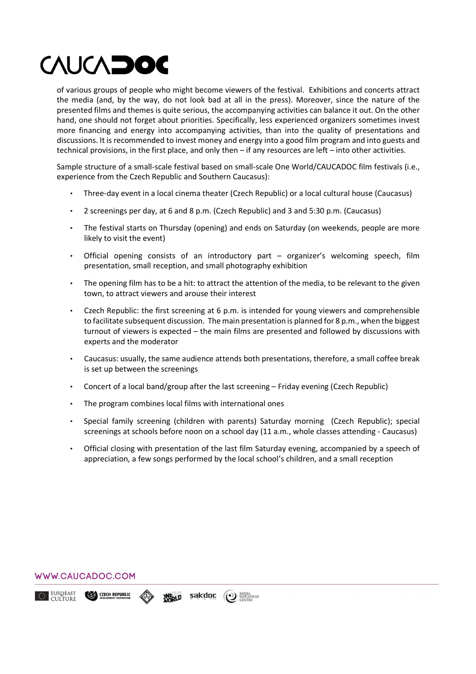of various groups of people who might become viewers of the festival. Exhibitions and concerts attract the media (and, by the way, do not look bad at all in the press). Moreover, since the nature of the presented films and themes is quite serious, the accompanying activities can balance it out. On the other hand, one should not forget about priorities. Specifically, less experienced organizers sometimes invest more financing and energy into accompanying activities, than into the quality of presentations and discussions. It is recommended to invest money and energy into a good film program and into guests and technical provisions, in the first place, and only then – if any resources are left – into other activities.

Sample structure of a small-scale festival based on small-scale One World/CAUCADOC film festivals (i.e., experience from the Czech Republic and Southern Caucasus):

- Three-day event in a local cinema theater (Czech Republic) or a local cultural house (Caucasus)
- 2 screenings per day, at 6 and 8 p.m. (Czech Republic) and 3 and 5:30 p.m. (Caucasus)
- The festival starts on Thursday (opening) and ends on Saturday (on weekends, people are more likely to visit the event)
- Official opening consists of an introductory part organizer's welcoming speech, film presentation, small reception, and small photography exhibition
- The opening film has to be a hit: to attract the attention of the media, to be relevant to the given town, to attract viewers and arouse their interest
- Czech Republic: the first screening at 6 p.m. is intended for young viewers and comprehensible to facilitate subsequent discussion. The main presentation is planned for 8 p.m., when the biggest turnout of viewers is expected – the main films are presented and followed by discussions with experts and the moderator
- Caucasus: usually, the same audience attends both presentations, therefore, a small coffee break is set up between the screenings
- Concert of a local band/group after the last screening Friday evening (Czech Republic)
- The program combines local films with international ones
- Special family screening (children with parents) Saturday morning (Czech Republic); special screenings at schools before noon on a school day (11 a.m., whole classes attending - Caucasus)
- Official closing with presentation of the last film Saturday evening, accompanied by a speech of appreciation, a few songs performed by the local school's children, and a small reception

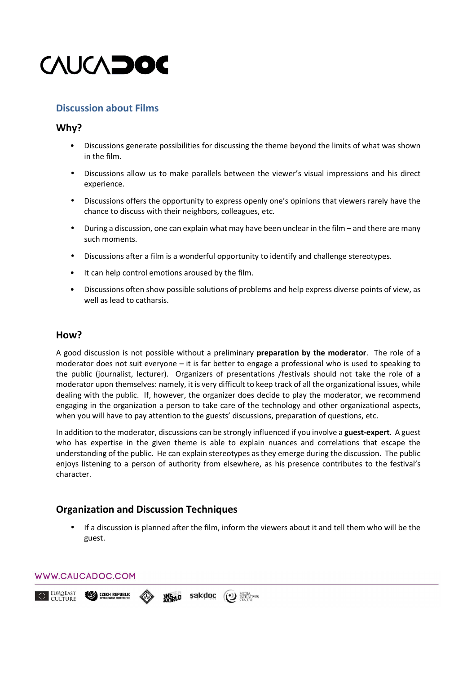

## **Discussion about Films**

### **Why?**

- Discussions generate possibilities for discussing the theme beyond the limits of what was shown in the film.
- Discussions allow us to make parallels between the viewer's visual impressions and his direct experience.
- Discussions offers the opportunity to express openly one's opinions that viewers rarely have the chance to discuss with their neighbors, colleagues, etc.
- During a discussion, one can explain what may have been unclear in the film and there are many such moments.
- Discussions after a film is a wonderful opportunity to identify and challenge stereotypes.
- It can help control emotions aroused by the film.
- Discussions often show possible solutions of problems and help express diverse points of view, as well as lead to catharsis.

### **How?**

A good discussion is not possible without a preliminary **preparation by the moderator**. The role of a moderator does not suit everyone – it is far better to engage a professional who is used to speaking to the public (journalist, lecturer). Organizers of presentations /festivals should not take the role of a moderator upon themselves: namely, it is very difficult to keep track of all the organizational issues, while dealing with the public. If, however, the organizer does decide to play the moderator, we recommend engaging in the organization a person to take care of the technology and other organizational aspects, when you will have to pay attention to the guests' discussions, preparation of questions, etc.

In addition to the moderator, discussions can be strongly influenced if you involve a **guest-expert**. A guest who has expertise in the given theme is able to explain nuances and correlations that escape the understanding of the public. He can explain stereotypes as they emerge during the discussion. The public enjoys listening to a person of authority from elsewhere, as his presence contributes to the festival's character.

## **Organization and Discussion Techniques**

• If a discussion is planned after the film, inform the viewers about it and tell them who will be the guest.



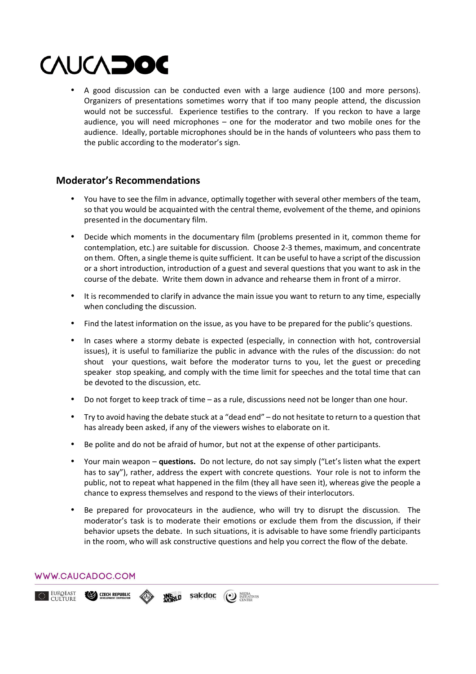• A good discussion can be conducted even with a large audience (100 and more persons). Organizers of presentations sometimes worry that if too many people attend, the discussion would not be successful. Experience testifies to the contrary. If you reckon to have a large audience, you will need microphones – one for the moderator and two mobile ones for the audience. Ideally, portable microphones should be in the hands of volunteers who pass them to the public according to the moderator's sign.

## **Moderator's Recommendations**

- You have to see the film in advance, optimally together with several other members of the team, so that you would be acquainted with the central theme, evolvement of the theme, and opinions presented in the documentary film.
- Decide which moments in the documentary film (problems presented in it, common theme for contemplation, etc.) are suitable for discussion. Choose 2-3 themes, maximum, and concentrate on them. Often, a single theme is quite sufficient. It can be useful to have a script of the discussion or a short introduction, introduction of a guest and several questions that you want to ask in the course of the debate. Write them down in advance and rehearse them in front of a mirror.
- It is recommended to clarify in advance the main issue you want to return to any time, especially when concluding the discussion.
- Find the latest information on the issue, as you have to be prepared for the public's questions.
- In cases where a stormy debate is expected (especially, in connection with hot, controversial issues), it is useful to familiarize the public in advance with the rules of the discussion: do not shout your questions, wait before the moderator turns to you, let the guest or preceding speaker stop speaking, and comply with the time limit for speeches and the total time that can be devoted to the discussion, etc.
- Do not forget to keep track of time as a rule, discussions need not be longer than one hour.
- Try to avoid having the debate stuck at a "dead end" do not hesitate to return to a question that has already been asked, if any of the viewers wishes to elaborate on it.
- Be polite and do not be afraid of humor, but not at the expense of other participants.
- Your main weapon **questions.** Do not lecture, do not say simply ("Let's listen what the expert has to say"), rather, address the expert with concrete questions. Your role is not to inform the public, not to repeat what happened in the film (they all have seen it), whereas give the people а chance to express themselves and respond to the views of their interlocutors.
- Be prepared for provocateurs in the audience, who will try to disrupt the discussion. The moderator's task is to moderate their emotions or exclude them from the discussion, if their behavior upsets the debate. In such situations, it is advisable to have some friendly participants in the room, who will ask constructive questions and help you correct the flow of the debate.

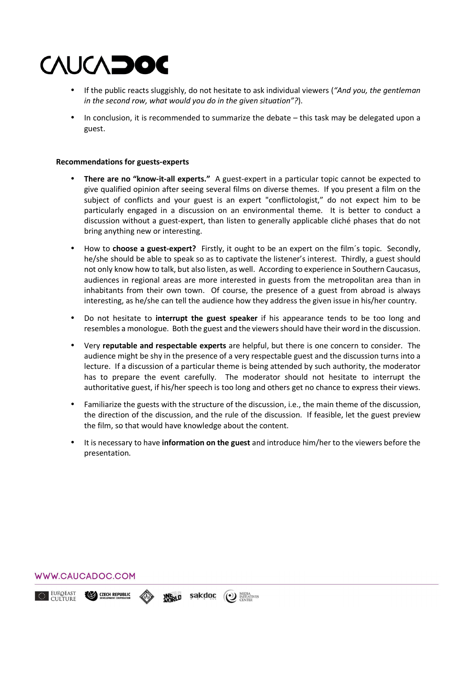- If the public reacts sluggishly, do not hesitate to ask individual viewers (*"And you, the gentleman in the second row, what would you do in the given situation"?*).
- In conclusion, it is recommended to summarize the debate this task may be delegated upon a guest.

#### **Recommendations for guests-experts**

- **There are no "know-it-all experts."** A guest-expert in a particular topic cannot be expected to give qualified opinion after seeing several films on diverse themes. If you present a film on the subject of conflicts and your guest is an expert "conflictologist," do not expect him to be particularly engaged in a discussion on an environmental theme. It is better to conduct a discussion without a guest-expert, than listen to generally applicable cliché phases that do not bring anything new or interesting.
- How to **choose a guest-expert?** Firstly, it ought to be an expert on the film´s topic. Secondly, he/she should be able to speak so as to captivate the listener's interest. Thirdly, a guest should not only know how to talk, but also listen, as well. According to experience in Southern Caucasus, audiences in regional areas are more interested in guests from the metropolitan area than in inhabitants from their own town. Of course, the presence of a guest from abroad is always interesting, as he/she can tell the audience how they address the given issue in his/her country.
- Do not hesitate to **interrupt the guest speaker** if his appearance tends to be too long and resembles a monologue. Both the guest and the viewers should have their word in the discussion.
- Very **reputable and respectable experts** are helpful, but there is one concern to consider. The audience might be shy in the presence of a very respectable guest and the discussion turns into a lecture. If a discussion of a particular theme is being attended by such authority, the moderator has to prepare the event carefully. The moderator should not hesitate to interrupt the authoritative guest, if his/her speech is too long and others get no chance to express their views.
- Familiarize the guests with the structure of the discussion, i.e., the main theme of the discussion, the direction of the discussion, and the rule of the discussion. If feasible, let the guest preview the film, so that would have knowledge about the content.
- It is necessary to have **information on the guest** and introduce him/her to the viewers before the presentation.

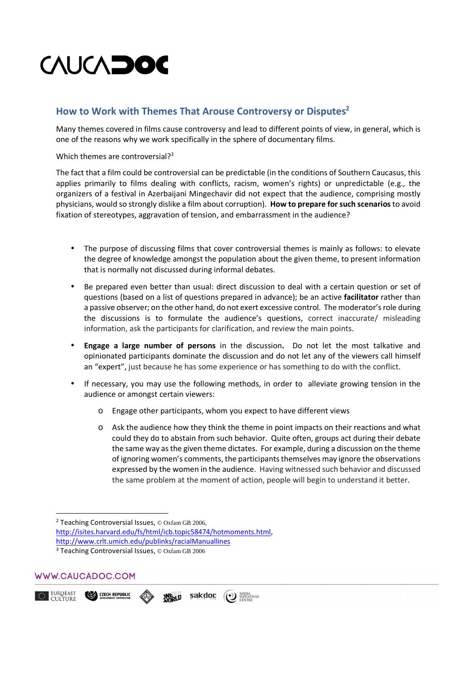## **How to Work with Themes That Arouse Controversy or Disputes<sup>2</sup>**

Many themes covered in films cause controversy and lead to different points of view, in general, which is one of the reasons why we work specifically in the sphere of documentary films.

Which themes are controversial?<sup>3</sup>

Тhe fact that a film could be controversial can be predictable (in the conditions of Southern Caucasus, this applies primarily to films dealing with conflicts, racism, women's rights) or unpredictable (e.g., the organizers of a festival in Azerbaijani Mingechavir did not expect that the audience, comprising mostly physicians, would so strongly dislike a film about corruption). **How to prepare for such scenarios** to avoid fixation of stereotypes, aggravation of tension, and embarrassment in the audience?

- The purpose of discussing films that cover controversial themes is mainly as follows: to elevate the degree of knowledge amongst the population about the given theme, to present information that is normally not discussed during informal debates.
- Be prepared even better than usual: direct discussion to deal with a certain question or set of questions (based on a list of questions prepared in advance); be an active **facilitator** rather than a passive observer; on the other hand, do not exert excessive control. The moderator's role during the discussions is to formulate the audience's questions, correct inaccurate/ misleading information, ask the participants for clarification, and review the main points.
- **Engage a large number of persons** in the discussion**.** Do not let the most talkative and opinionated participants dominate the discussion and do not let any of the viewers call himself an "expert", just because he has some experience or has something to do with the conflict.
- If necessary, you may use the following methods, in order to alleviate growing tension in the audience or amongst certain viewers:
	- o Engage other participants, whom you expect to have different views
	- o Ask the audience how they think the theme in point impacts on their reactions and what could they do to abstain from such behavior. Quite often, groups act during their debate the same way as the given theme dictates. For example, during a discussion on the theme of ignoring women's comments, the participants themselves may ignore the observations expressed by the women in the audience. Having witnessed such behavior and discussed the same problem at the moment of action, people will begin to understand it better.

<sup>2</sup> Teaching Controversial Issues,  $\odot$  Oxfam GB 2006, http://isites.harvard.edu/fs/html/icb.topic58474/hotmoments.html, http://www.crlt.umich.edu/publinks/racialManuallines <sup>3</sup> Teaching Controversial Issues, © Oxfam GB 2006

**ANGRLD** 

sakdoc

(1) MEDIA<br>
CENTER



**CZECH REPUBLIC** 

<u>.</u>

EUROEAST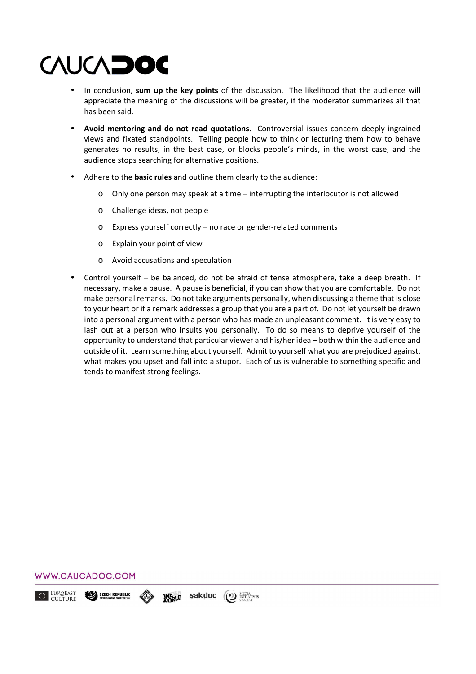- In conclusion, **sum up the key points** of the discussion. The likelihood that the audience will appreciate the meaning of the discussions will be greater, if the moderator summarizes all that has been said.
- **Avoid mentoring and do not read quotations**. Controversial issues concern deeply ingrained views and fixated standpoints. Telling people how to think or lecturing them how to behave generates no results, in the best case, or blocks people's minds, in the worst case, and the audience stops searching for alternative positions.
- Adhere to the **basic rules** and outline them clearly to the audience:
	- $\circ$  Only one person may speak at a time interrupting the interlocutor is not allowed
	- o Challenge ideas, not people
	- o Express yourself correctly no race or gender-related comments
	- o Explain your point of view
	- o Avoid accusations and speculation
- Control yourself be balanced, do not be afraid of tense atmosphere, take a deep breath. If necessary, make a pause. A pause is beneficial, if you can show that you are comfortable. Do not make personal remarks. Do not take arguments personally, when discussing a theme that is close to your heart or if a remark addresses a group that you are a part of. Do not let yourself be drawn into a personal argument with a person who has made an unpleasant comment. It is very easy to lash out at a person who insults you personally. To do so means to deprive yourself of the opportunity to understand that particular viewer and his/her idea – both within the audience and outside of it. Learn something about yourself. Admit to yourself what you are prejudiced against, what makes you upset and fall into a stupor. Each of us is vulnerable to something specific and tends to manifest strong feelings.



EUROEAST (<sup>O</sup>) MEDIA<br>
CENTER **CZECH REPUBLIC** sakdoc **ANGRLD**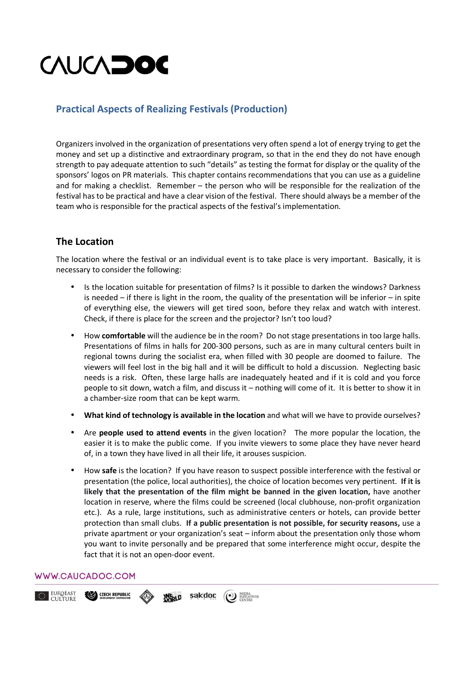## **Practical Aspects of Realizing Festivals (Production)**

Organizers involved in the organization of presentations very often spend a lot of energy trying to get the money and set up a distinctive and extraordinary program, so that in the end they do not have enough strength to pay adequate attention to such "details" as testing the format for display or the quality of the sponsors' logos on PR materials. This chapter contains recommendations that you can use as a guideline and for making a checklist. Remember – the person who will be responsible for the realization of the festival has to be practical and have a clear vision of the festival. There should always be a member of the team who is responsible for the practical aspects of the festival's implementation.

## **The Location**

The location where the festival or an individual event is to take place is very important. Basically, it is necessary to consider the following:

- Is the location suitable for presentation of films? Is it possible to darken the windows? Darkness is needed – if there is light in the room, the quality of the presentation will be inferior – in spite of everything else, the viewers will get tired soon, before they relax and watch with interest. Check, if there is place for the screen and the projector? Isn't too loud?
- How **comfortable** will the audience be in the room? Do not stage presentations in too large halls. Presentations of films in halls for 200-300 persons, such as are in many cultural centers built in regional towns during the socialist era, when filled with 30 people are doomed to failure. The viewers will feel lost in the big hall and it will be difficult to hold a discussion. Neglecting basic needs is a risk. Often, these large halls are inadequately heated and if it is cold and you force people to sit down, watch a film, and discuss it – nothing will come of it. It is better to show it in a chamber-size room that can be kept warm.
- **What kind of technology is available in the location** and what will we have to provide ourselves?
- Are **people used to attend events** in the given location? The more popular the location, the easier it is to make the public come. If you invite viewers to some place they have never heard of, in a town they have lived in all their life, it arouses suspicion.
- How **safe** is the location? If you have reason to suspect possible interference with the festival or presentation (the police, local authorities), the choice of location becomes very pertinent. **If it is likely that the presentation of the film might be banned in the given location,** have another location in reserve, where the films could be screened (local clubhouse, non-profit organization etc.). As a rule, large institutions, such as administrative centers or hotels, can provide better protection than small clubs. **If a public presentation is not possible, for security reasons,** use a private apartment or your organization's seat – inform about the presentation only those whom you want to invite personally and be prepared that some interference might occur, despite the fact that it is not an open-door event.

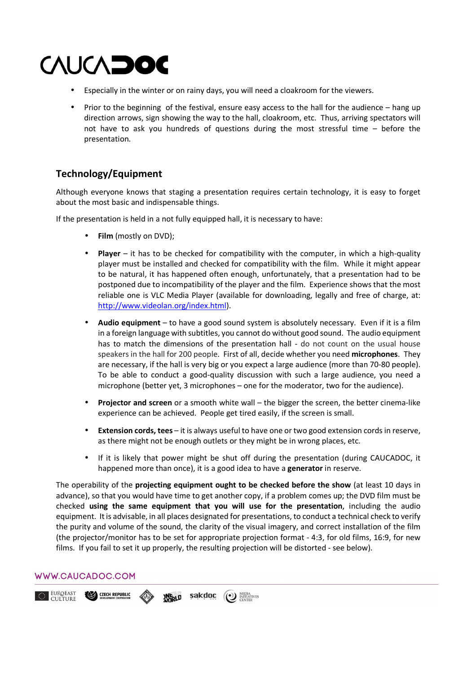- Especially in the winter or on rainy days, you will need a cloakroom for the viewers.
- Prior to the beginning of the festival, ensure easy access to the hall for the audience hang up direction arrows, sign showing the way to the hall, cloakroom, etc. Thus, arriving spectators will not have to ask you hundreds of questions during the most stressful time – before the presentation.

## **Technology/Equipment**

Although everyone knows that staging a presentation requires certain technology, it is easy to forget about the most basic and indispensable things.

If the presentation is held in a not fully equipped hall, it is necessary to have:

- **Film** (mostly on DVD);
- **Player** it has to be checked for compatibility with the computer, in which a high-quality player must be installed and checked for compatibility with the film. While it might appear to be natural, it has happened often enough, unfortunately, that a presentation had to be postponed due to incompatibility of the player and the film. Experience shows that the most reliable one is VLC Media Player (available for downloading, legally and free of charge, at: http://www.videolan.org/index.html).
- **Audio equipment** to have a good sound system is absolutely necessary. Even if it is a film in a foreign language with subtitles, you cannot do without good sound. The audio equipment has to match the dimensions of the presentation hall - do not count on the usual house speakers in the hall for 200 people. First of all, decide whether you need **microphones**. They are necessary, if the hall is very big or you expect a large audience (more than 70-80 people). To be able to conduct a good-quality discussion with such a large audience, you need a microphone (better yet, 3 microphones – one for the moderator, two for the audience).
- **Projector and screen** or a smooth white wall the bigger the screen, the better cinema-like experience can be achieved. People get tired easily, if the screen is small.
- **Extension cords, tees** it is always useful to have one or two good extension cords in reserve, as there might not be enough outlets or they might be in wrong places, etc.
- If it is likely that power might be shut off during the presentation (during CAUCADOC, it happened more than once), it is a good idea to have a **generator** in reserve.

The operability of the **projecting equipment ought to be checked before the show** (at least 10 days in advance), so that you would have time to get another copy, if a problem comes up; the DVD film must be checked **using the same equipment that you will use for the presentation**, including the audio equipment. It is advisable, in all places designated for presentations, to conduct a technical check to verify the purity and volume of the sound, the clarity of the visual imagery, and correct installation of the film (the projector/monitor has to be set for appropriate projection format - 4:3, for old films, 16:9, for new films. If you fail to set it up properly, the resulting projection will be distorted - see below).

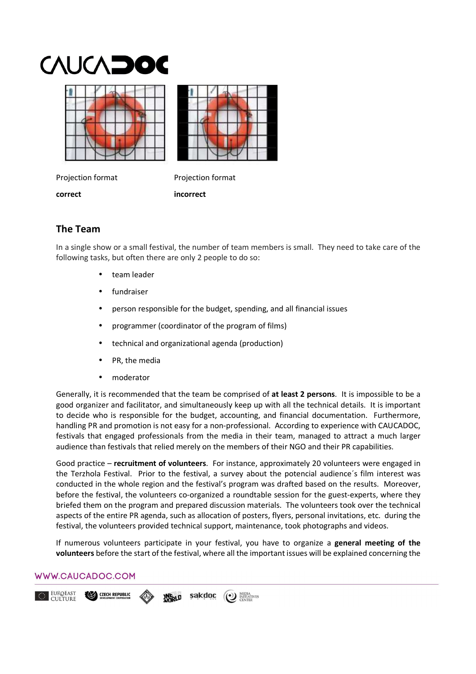

Projection format Projection format

**correct incorrect** 

## **The Team**

In a single show or a small festival, the number of team members is small. They need to take care of the following tasks, but often there are only 2 people to do so:

- team leader
- fundraiser
- person responsible for the budget, spending, and all financial issues
- programmer (coordinator of the program of films)
- technical and organizational agenda (production)
- PR, the media
- moderator

Generally, it is recommended that the team be comprised of **at least 2 persons**. It is impossible to be a good organizer and facilitator, and simultaneously keep up with all the technical details. It is important to decide who is responsible for the budget, accounting, and financial documentation. Furthermore, handling PR and promotion is not easy for a non-professional. According to experience with CAUCADOC, festivals that engaged professionals from the media in their team, managed to attract a much larger audience than festivals that relied merely on the members of their NGO and their PR capabilities.

Good practice – **recruitment of volunteers**. For instance, approximately 20 volunteers were engaged in the Terzhola Festival. Prior to the festival, a survey about the potencial audience´s film interest was conducted in the whole region and the festival's program was drafted based on the results. Moreover, before the festival, the volunteers co-organized a roundtable session for the guest-experts, where they briefed them on the program and prepared discussion materials. The volunteers took over the technical aspects of the entire PR agenda, such as allocation of posters, flyers, personal invitations, etc. during the festival, the volunteers provided technical support, maintenance, took photographs and videos.

If numerous volunteers participate in your festival, you have to organize a **general meeting of the volunteers** before the start of the festival, where all the important issues will be explained concerning the

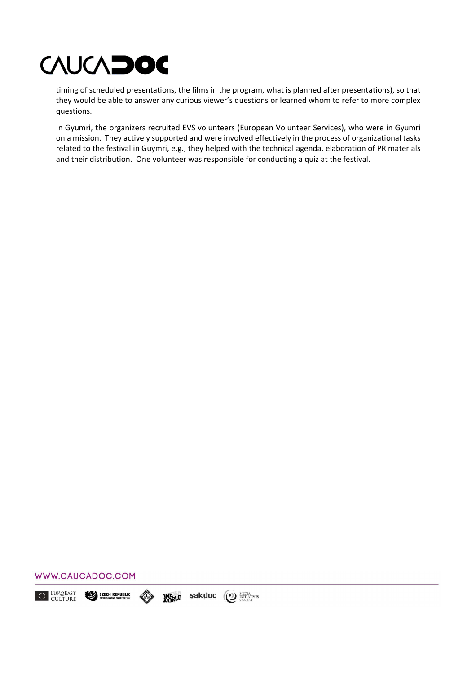timing of scheduled presentations, the films in the program, what is planned after presentations), so that they would be able to answer any curious viewer's questions or learned whom to refer to more complex questions.

In Gyumri, the organizers recruited EVS volunteers (European Volunteer Services), who were in Gyumri on a mission. They actively supported and were involved effectively in the process of organizational tasks related to the festival in Guymri, e.g., they helped with the technical agenda, elaboration of PR materials and their distribution. One volunteer was responsible for conducting a quiz at the festival.



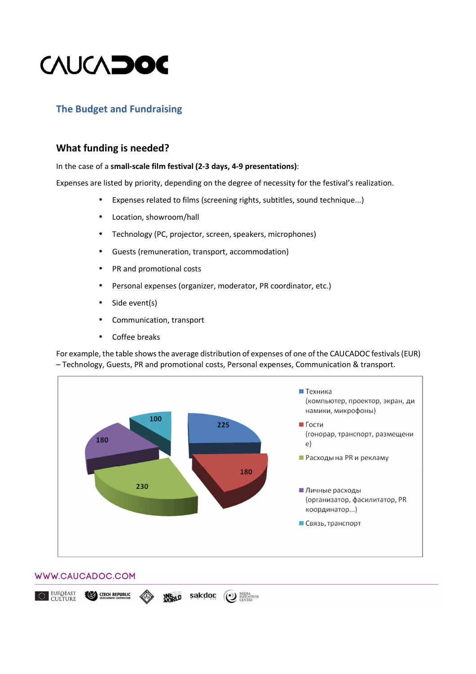

## **The Budget and Fundraising**

## **What funding is needed?**

#### In the case of a **small-scale film festival (2-3 days, 4-9 presentations)**:

Expenses are listed by priority, depending on the degree of necessity for the festival's realization.

- Expenses related to films (screening rights, subtitles, sound technique...)
- Location, showroom/hall
- Теchnology (PC, projector, screen, speakers, microphones)
- Guests (remuneration, transport, accommodation)
- PR and promotional costs
- Personal expenses (organizer, moderator, PR coordinator, etc.)
- Side event(s)
- Сommunication, transport
- Coffee breaks

For example, the table shows the average distribution of expenses of one of the CAUCADOC festivals (EUR) – Technology, Guests, PR and promotional costs, Personal expenses, Communication & transport.



(1) MEDIA<br>CENTER

sakdoc

**ANGRLD** 

#### WWW.CAUCADOC.COM

**CZECH REPUBLIC** 

EUROEAST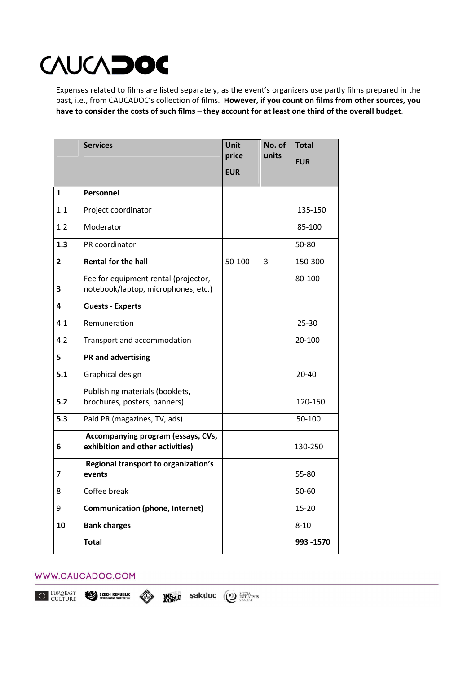Expenses related to films are listed separately, as the event's organizers use partly films prepared in the past, i.e., from CAUCADOC's collection of films. **However, if you count on films from other sources, you have to consider the costs of such films – they account for at least one third of the overall budget**.

|                | <b>Services</b>                                                             | <b>Unit</b><br>price | No. of<br>units | <b>Total</b> |
|----------------|-----------------------------------------------------------------------------|----------------------|-----------------|--------------|
|                |                                                                             | <b>EUR</b>           |                 | <b>EUR</b>   |
|                |                                                                             |                      |                 |              |
| 1              | Personnel                                                                   |                      |                 |              |
| 1.1            | Project coordinator                                                         |                      |                 | 135-150      |
| 1.2            | Moderator                                                                   |                      |                 | 85-100       |
| 1.3            | PR coordinator                                                              |                      |                 | 50-80        |
| $\overline{2}$ | <b>Rental for the hall</b>                                                  | 50-100               | 3               | 150-300      |
| 3              | Fee for equipment rental (projector,<br>notebook/laptop, microphones, etc.) |                      |                 | 80-100       |
| 4              | <b>Guests - Experts</b>                                                     |                      |                 |              |
| 4.1            | Remuneration                                                                |                      |                 | $25 - 30$    |
| 4.2            | Transport and accommodation                                                 |                      |                 | 20-100       |
| 5              | <b>PR and advertising</b>                                                   |                      |                 |              |
| 5.1            | Graphical design                                                            |                      |                 | 20-40        |
| 5.2            | Publishing materials (booklets,<br>brochures, posters, banners)             |                      |                 | 120-150      |
| 5.3            | Paid PR (magazines, TV, ads)                                                |                      |                 | 50-100       |
| 6              | Accompanying program (essays, CVs,<br>exhibition and other activities)      |                      |                 | 130-250      |
| 7              | Regional transport to organization's<br>events                              |                      |                 | 55-80        |
| 8              | Coffee break                                                                |                      |                 | $50 - 60$    |
| 9              | <b>Communication (phone, Internet)</b>                                      |                      |                 | $15 - 20$    |
| 10             | <b>Bank charges</b>                                                         |                      |                 | $8 - 10$     |
|                | <b>Total</b>                                                                |                      |                 | 993 - 1570   |

### WWW.CAUCADOC.COM

EUROEAST<br>CULTURE

≪≫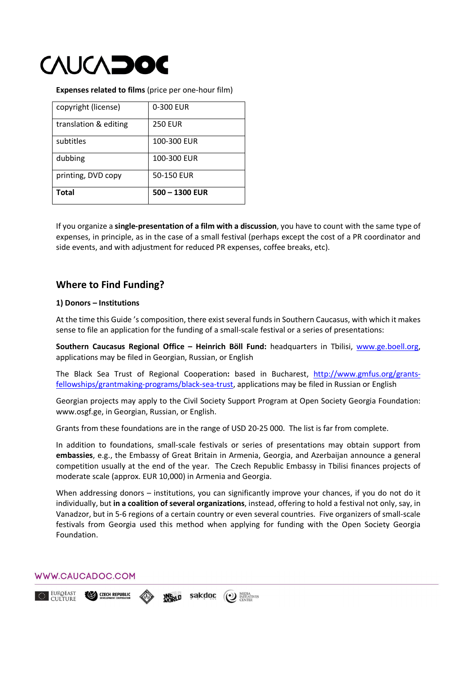

**Expenses related to films** (price per one-hour film)

| copyright (license)   | 0-300 EUR        |
|-----------------------|------------------|
| translation & editing | <b>250 EUR</b>   |
| subtitles             | 100-300 EUR      |
| dubbing               | 100-300 EUR      |
| printing, DVD copy    | 50-150 EUR       |
| Total                 | $500 - 1300$ EUR |

If you organize a **single-presentation of a film with a discussion**, you have to count with the same type of expenses, in principle, as in the case of a small festival (perhaps except the cost of a PR coordinator and side events, and with adjustment for reduced PR expenses, coffee breaks, etc).

## **Where to Find Funding?**

#### **1) Donors – Institutions**

At the time this Guide 's composition, there exist several funds in Southern Caucasus, with which it makes sense to file an application for the funding of a small-scale festival or a series of presentations:

**Southern Caucasus Regional Office – Heinrich Böll Fund:** headquarters in Tbilisi, www.ge.boell.org, applications may be filed in Georgian, Russian, or English

The Black Sea Trust of Regional Cooperation**:** based in Bucharest, http://www.gmfus.org/grantsfellowships/grantmaking-programs/black-sea-trust, applications may be filed in Russian or English

Georgian projects may apply to the Civil Society Support Program at Open Society Georgia Foundation: www.osgf.ge, in Georgian, Russian, or English.

Grants from these foundations are in the range of USD 20-25 000. The list is far from complete.

In addition to foundations, small-scale festivals or series of presentations may obtain support from **embassies**, e.g., the Embassy of Great Britain in Armenia, Georgia, and Azerbaijan announce a general competition usually at the end of the year. The Czech Republic Embassy in Tbilisi finances projects of moderate scale (approx. EUR 10,000) in Armenia and Georgia.

When addressing donors - institutions, you can significantly improve your chances, if you do not do it individually, but **in a coalition of several organizations**, instead, offering to hold a festival not only, say, in Vanadzor, but in 5-6 regions of a certain country or even several countries. Five organizers of small-scale festivals from Georgia used this method when applying for funding with the Open Society Georgia Foundation.

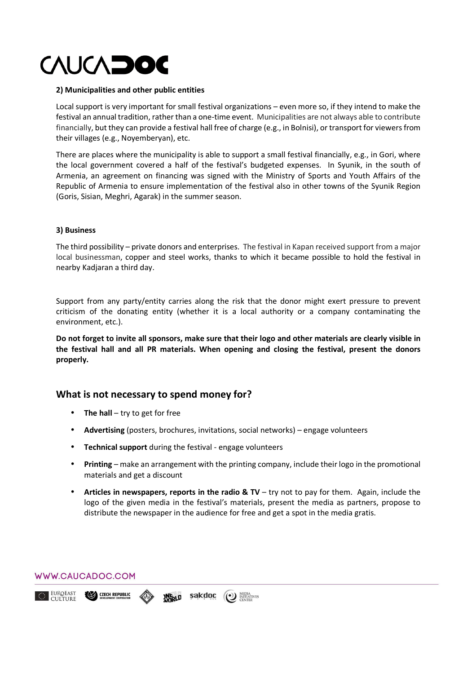#### **2) Municipalities and other public entities**

Local support is very important for small festival organizations – even more so, if they intend to make the festival an annual tradition, rather than a one-time event. Municipalities are not always able to contribute financially, but they can provide a festival hall free of charge (e.g., in Bolnisi), or transport for viewers from their villages (e.g., Noyemberyan), etc.

There are places where the municipality is able to support a small festival financially, e.g., in Gori, where the local government covered a half of the festival's budgeted expenses. In Syunik, in the south of Armenia, an agreement on financing was signed with the Ministry of Sports and Youth Affairs of the Republic of Armenia to ensure implementation of the festival also in other towns of the Syunik Region (Goris, Sisian, Meghri, Agarak) in the summer season.

#### **3) Business**

The third possibility – private donors and enterprises. The festival in Kapan received support from a major local businessman, copper and steel works, thanks to which it became possible to hold the festival in nearby Kadjaran a third day.

Support from any party/entity carries along the risk that the donor might exert pressure to prevent criticism of the donating entity (whether it is a local authority or a company contaminating the environment, etc.).

**Do not forget to invite all sponsors, make sure that their logo and other materials are clearly visible in the festival hall and all PR materials. When opening and closing the festival, present the donors properly.** 

## **What is not necessary to spend money for?**

- **The hall** try to get for free
- **Advertising** (posters, brochures, invitations, social networks) engage volunteers
- **Теchnical support** during the festival engage volunteers
- **Printing** make an arrangement with the printing company, include their logo in the promotional materials and get a discount
- **Articles in newspapers, reports in the radio & TV** try not to pay for them. Again, include the logo of the given media in the festival's materials, present the media as partners, propose to distribute the newspaper in the audience for free and get a spot in the media gratis.

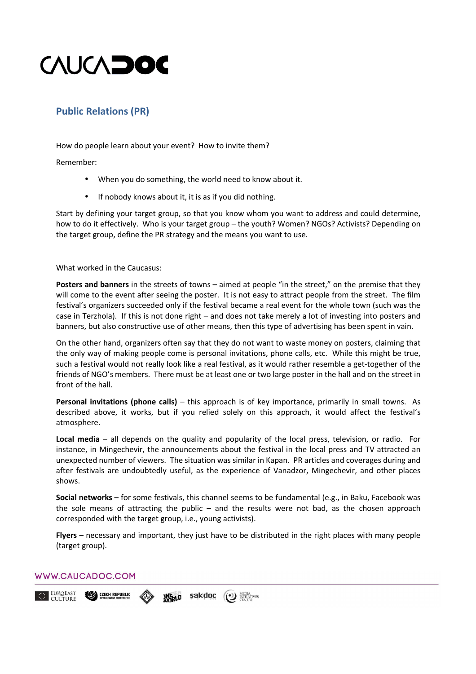

## **Public Relations (PR)**

How do people learn about your event? How to invite them?

Remember:

- When you do something, the world need to know about it.
- If nobody knows about it, it is as if you did nothing.

Start by defining your target group, so that you know whom you want to address and could determine, how to do it effectively. Who is your target group – the youth? Women? NGOs? Activists? Depending on the target group, define the PR strategy and the means you want to use.

What worked in the Caucasus:

**Posters and banners** in the streets of towns – aimed at people "in the street," on the premise that they will come to the event after seeing the poster. It is not easy to attract people from the street. The film festival's organizers succeeded only if the festival became a real event for the whole town (such was the case in Terzhola). If this is not done right – and does not take merely a lot of investing into posters and banners, but also constructive use of other means, then this type of advertising has been spent in vain.

On the other hand, organizers often say that they do not want to waste money on posters, claiming that the only way of making people come is personal invitations, phone calls, etc. While this might be true, such a festival would not really look like a real festival, аs it would rather resemble a get-together of the friends of NGO's members. There must be at least one or two large poster in the hall and on the street in front of the hall.

**Personal invitations (phone calls)** – this approach is of key importance, primarily in small towns. As described above, it works, but if you relied solely on this approach, it would affect the festival's atmosphere.

**Local media** – all depends on the quality and popularity of the local press, television, or radio. For instance, in Mingechevir, the announcements about the festival in the local press and TV attracted an unexpected number of viewers. The situation was similar in Kapan. PR articles and coverages during and after festivals are undoubtedly useful, as the experience of Vanadzor, Mingechevir, and other places shows.

**Social networks** – for some festivals, this channel seems to be fundamental (e.g., in Baku, Facebook was the sole means of attracting the public – and the results were not bad, as the chosen approach corresponded with the target group, i.e., young activists).

**Flyers** – necessary and important, they just have to be distributed in the right places with many people (target group).

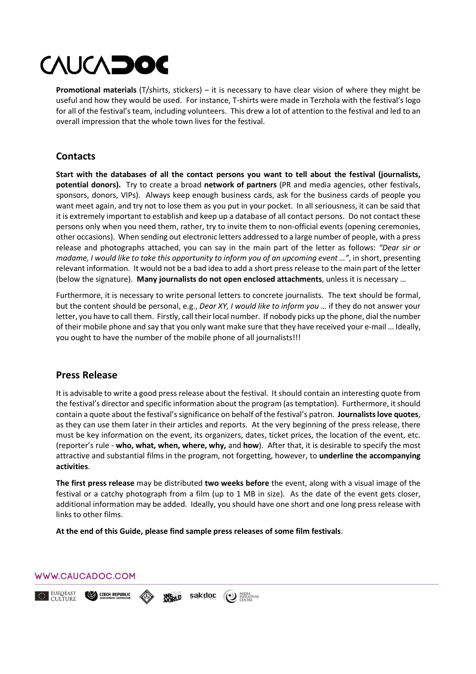**Promotional materials** (T/shirts, stickers) – it is necessary to have clear vision of where they might be useful and how they would be used. For instance, T-shirts were made in Terzhola with the festival's logo for all of the festival's team, including volunteers. This drew a lot of attention to the festival and led to an overall impression that the whole town lives for the festival.

## **Contacts**

**Start with the databases of all the contact persons you want to tell about the festival (journalists, potential donors).** Try to create a broad **network of partners** (PR and media agencies, other festivals, sponsors, donors, VIPs). Always keep enough business cards, ask for the business cards of people you want meet again, and try not to lose them as you put in your pocket. In all seriousness, it can be said that it is extremely important to establish and keep up a database of all contact persons. Do not contact these persons only when you need them, rather, try to invite them to non-official events (opening ceremonies, other occasions). When sending out electronic letters addressed to a large number of people, with a press release and photographs attached, you can say in the main part of the letter as follows: *"Dear sir or madame, I would like to take this opportunity to inform you of an upcoming event …"*, in short, presenting relevant information. It would not be a bad idea to add a short press release to the main part of the letter (below the signature). **Many journalists do not open enclosed attachments**, unless it is necessary …

Furthermore, it is necessary to write personal letters to concrete journalists. Тhe text should be formal, but the content should be personal, e.g., *Dear XY, I would like to inform you …* if they do not answer your letter, you have to call them. Firstly, call their local number. If nobody picks up the phone, dial the number of their mobile phone and say that you only want make sure that they have received your e-mail … Ideally, you ought to have the number of the mobile phone of all journalists!!!

## **Press Release**

It is advisable to write a good press release about the festival. It should contain an interesting quote from the festival's director and specific information about the program (as temptation). Furthermore, it should contain a quote about the festival's significance on behalf of the festival's patron. **Journalists love quotes**, as they can use them later in their articles and reports. At the very beginning of the press release, there must be key information on the event, its organizers, dates, ticket prices, the location of the event, etc. (reporter's rule - **who, what, when, where, why,** and **how**). After that, it is desirable to specify the most attractive and substantial films in the program, not forgetting, however, to **underline the accompanying activities**.

**The first press release** may be distributed **two weeks before** the event, along with a visual image of the festival or a catchy photograph from a film (up to 1 MB in size). As the date of the event gets closer, additional information may be added. Ideally, you should have one short and one long press release with links to other films.

**At the end of this Guide, please find sample press releases of some film festivals**.



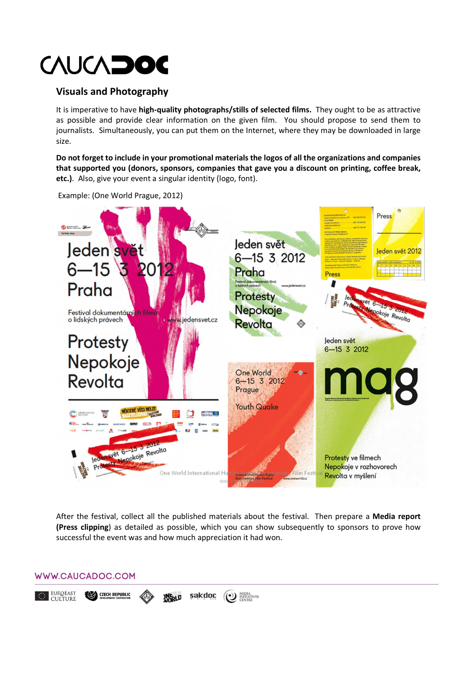## **Visuals and Photography**

It is imperative to have **high-quality photographs/stills of selected films.** They ought to be as attractive as possible and provide clear information оn the given film. You should propose to send them to journalists. Simultaneously, you can put them on the Internet, where they may be downloaded in large size.

**Do not forget to include in your promotional materials the logos of all the organizations and companies that supported you (donors, sponsors, companies that gave you a discount on printing, coffee break, etc.)**. Also, give your event a singular identity (logo, font).



Example: (Оne World Prague, 2012)

After the festival, collect all the published materials about the festival. Then prepare a **Media report (Press clipping**) as detailed as possible, which you can show subsequently to sponsors to prove how successful the event was and how much appreciation it had won.

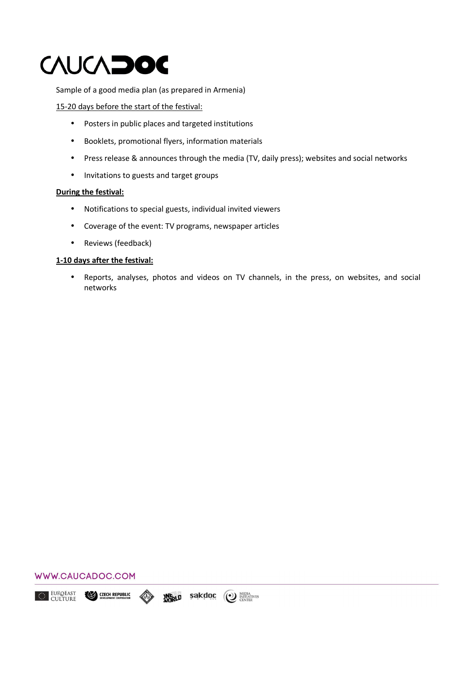Sample of a good media plan (as prepared in Armenia)

### 15-20 days before the start of the festival:

- Posters in public places and targeted institutions
- Booklets, promotional flyers, information materials
- Press release & announces through the media (TV, daily press); websites and social networks
- Invitations to guests and target groups

#### **During the festival:**

- Notifications to special guests, individual invited viewers
- Coverage of the event: TV programs, newspaper articles
- Reviews (feedback)

### **1-10 days after the festival:**

• Reports, analyses, photos and videos on TV channels, in the press, on websites, and social networks

(<sup>o</sup>) MEDIA<br>
CENTER

sakdoc

**JNE LD** 



**CZECH REPUBLIC** 

EUROEAST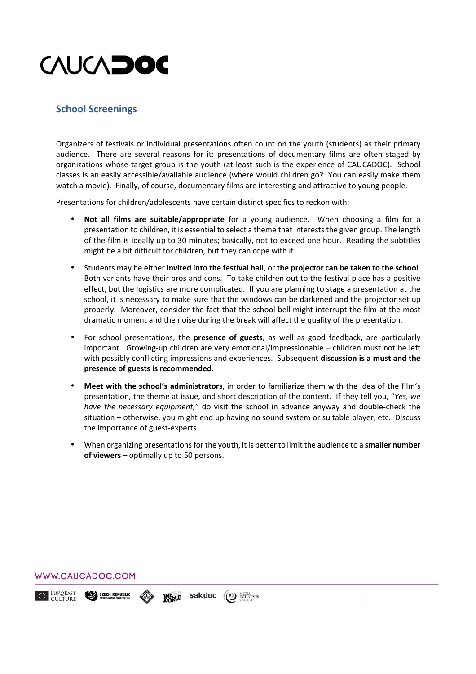

## **School Screenings**

Organizers of festivals or individual presentations often count on the youth (students) as their primary audience. There are several reasons for it: presentations of documentary films are often staged by organizations whose target group is the youth (at least such is the experience of CAUCADOC). School classes is an easily accessible/available audience (where would children go? You can easily make them watch a movie). Finally, of course, documentary films are interesting and attractive to young people.

Presentations for children/adolescents have certain distinct specifics to reckon with:

- **Not all films are suitable/appropriate** for a young audience. When choosing a film for a presentation to children, it is essential to select a theme that interests the given group. The length of the film is ideally up to 30 minutes; basically, not to exceed one hour. Reading the subtitles might be a bit difficult for children, but they can cope with it.
- Students may be either **invited into the festival hall**, or **the projector can be taken to the school**. Both variants have their pros and cons. To take children out to the festival place has a positive effect, but the logistics are more complicated. If you are planning to stage a presentation at the school, it is necessary to make sure that the windows can be darkened and the projector set up properly. Moreover, consider the fact that the school bell might interrupt the film at the most dramatic moment and the noise during the break will affect the quality of the presentation.
- For school presentations, the **presence of guests,** as well as good feedback, are particularly important. Growing-up children are very emotional/impressionable – children must not be left with possibly conflicting impressions and experiences. Subsequent **discussion is a must and the presence of guests is recommended**.
- **Meet with the school's administrators**, in order to familiarize them with the idea of the film's presentation, the theme at issue, and short description of the content. If they tell you, "*Yes, we have the necessary equipment,"* do visit the school in advance anyway and double-check the situation – otherwise, you might end up having no sound system or suitable player, etc. Discuss the importance of guest-experts.
- When organizing presentations for the youth, it is better to limit the audience to a **smaller number of viewers** – optimally up to 50 persons.

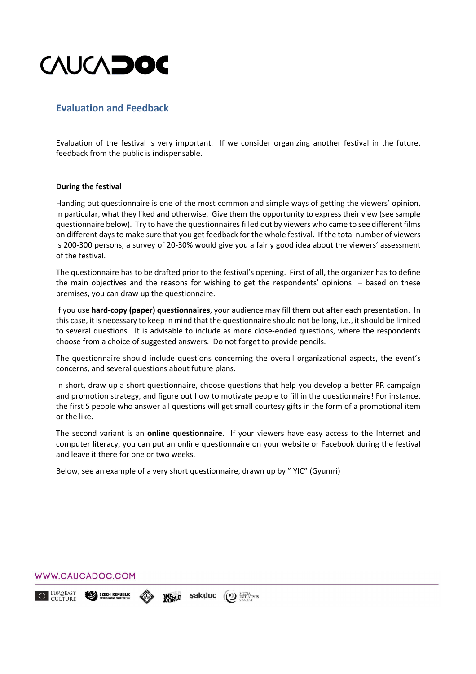

## **Evaluation and Feedback**

Evaluation of the festival is very important. If we consider organizing another festival in the future, feedback from the public is indispensable.

#### **During the festival**

Handing out questionnaire is one of the most common and simple ways of getting the viewers' opinion, in particular, what they liked and otherwise. Give them the opportunity to express their view (see sample questionnaire below). Try to have the questionnaires filled out by viewers who came to see different films on different days to make sure that you get feedback for the whole festival. If the total number of viewers is 200-300 persons, a survey of 20-30% would give you a fairly good idea about the viewers' assessment of the festival.

The questionnaire has to be drafted prior to the festival's opening. First of all, the organizer has to define the main objectives and the reasons for wishing to get the respondents' opinions – based on these premises, you can draw up the questionnaire.

If you use **hard-copy (paper) questionnaires**, your audience may fill them out after each presentation. In this case, it is necessary to keep in mind that the questionnaire should not be long, i.e., it should be limited to several questions. It is advisable to include as more close-ended questions, where the respondents choose from a choice of suggested answers. Do not forget to provide pencils.

The questionnaire should include questions concerning the overall organizational aspects, the event's concerns, and several questions about future plans.

In short, draw up a short questionnaire, choose questions that help you develop a better PR campaign and promotion strategy, and figure out how to motivate people to fill in the questionnaire! For instance, the first 5 people who answer all questions will get small courtesy gifts in the form of a promotional item or the like.

The second variant is an **online questionnaire**. If your viewers have easy access to the Internet and computer literacy, you can put an online questionnaire on your website or Facebook during the festival and leave it there for one or two weeks.

Below, see an example of a very short questionnaire, drawn up by " YIC" (Gyumri)

## WWW.CAUCADOC.COM

EUROEAST **CZECH REPUBLIC** sakdoc (1) MEDIA<br>
CENTER **INFOLD**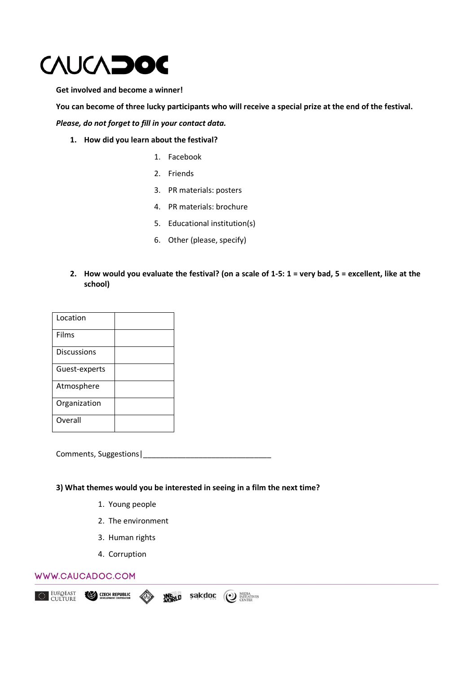

**Get involved and become a winner!** 

**You can become of three lucky participants who will receive a special prize at the end of the festival.** 

*Please, do not forget to fill in your contact data.*

- **1. How did you learn about the festival?** 
	- 1. Facebook
	- 2. Friends
	- 3. PR materials: posters
	- 4. PR materials: brochure
	- 5. Educational institution(s)
	- 6. Other (please, specify)
- **2. How would you evaluate the festival? (on a scale of 1-5: 1 = very bad, 5 = excellent, like at the school)**

| Location           |  |
|--------------------|--|
| Films              |  |
| <b>Discussions</b> |  |
| Guest-experts      |  |
| Atmosphere         |  |
| Organization       |  |
| Overall            |  |

Comments, Suggestions |

**3) What themes would you be interested in seeing in a film the next time?** 

- 1. Young people
- 2. The environment
- 3. Human rights
- 4. Corruption

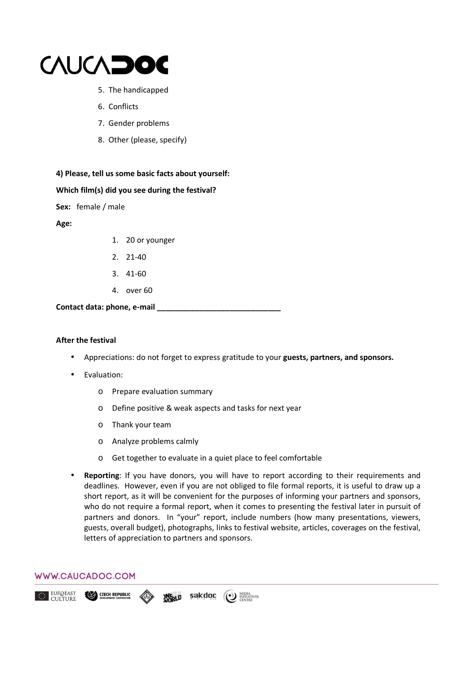

- 5. The handicapped
- 6. Conflicts
- 7. Gender problems
- 8. Other (please, specify)



#### **Which film(s) did you see during the festival?**

**Sex:** female / male

**Age:** 

- 1. 20 or younger
- 2. 21-40
- 3. 41-60
- 4. over 60

**Contact data: phone, e-mail \_\_\_\_\_\_\_\_\_\_\_\_\_\_\_\_\_\_\_\_\_\_\_\_\_\_\_\_\_** 

#### **After the festival**

- Appreciations: do not forget to express gratitude to your **guests, partners, and sponsors.**
- Evaluation:
	- o Prepare evaluation summary
	- o Define positive & weak aspects and tasks for next year
	- o Thank your team
	- o Analyze problems calmly
	- o Get together to evaluate in a quiet place to feel comfortable
- **Reporting**: If you have donors, you will have to report according to their requirements and deadlines. However, even if you are not obliged to file formal reports, it is useful to draw up a short report, as it will be convenient for the purposes of informing your partners and sponsors, who do not require a formal report, when it comes to presenting the festival later in pursuit of partners and donors. In "your" report, include numbers (how many presentations, viewers, guests, overall budget), photographs, links to festival website, articles, coverages on the festival, letters of appreciation to partners and sponsors.

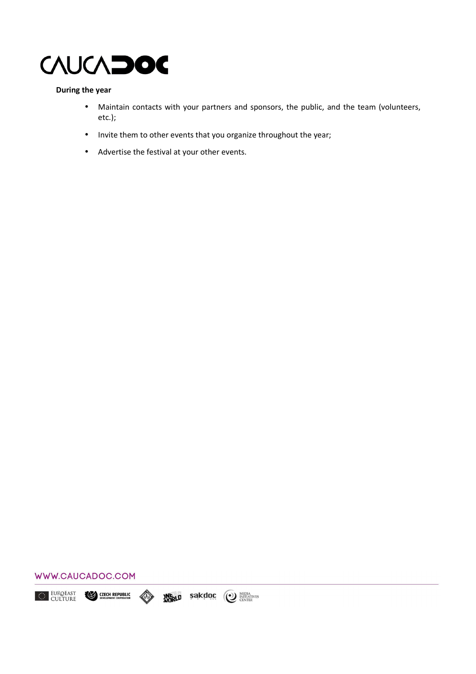

### **During the year**

- Maintain contacts with your partners and sponsors, the public, and the team (volunteers, etc.);
- Invite them to other events that you organize throughout the year;
- Advertise the festival at your other events.



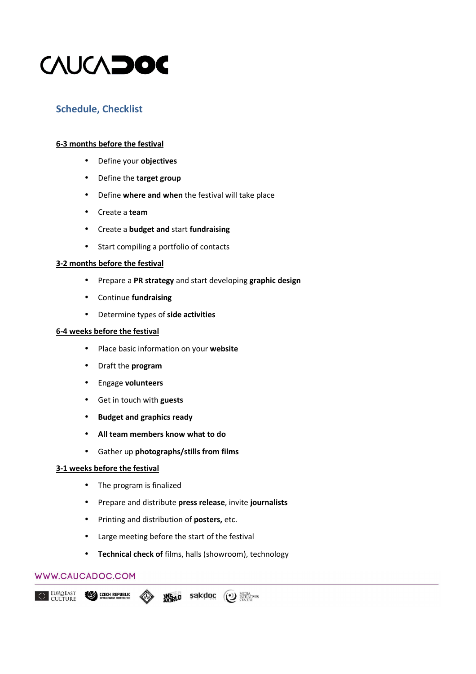

## **Schedule, Checklist**

### **6-3 months before the festival**

- Define your **objectives**
- Define the **target group**
- Define **where and when** the festival will take place
- Create a **team**
- Create a **budget and** start **fundraising**
- Start compiling a portfolio of contacts

#### **3-2 months before the festival**

- Prepare a **PR strategy** and start developing **graphic design**
- Continue **fundraising**
- Determine types of **side activities**

#### **6-4 weeks before the festival**

- Place basic information on your **website**
- Draft the **program**
- Engage **volunteers**
- Get in touch with **guests**
- **Budget and graphics ready**
- **All team members know what to do**
- Gather up **photographs/stills from films**

### **3-1 weeks before the festival**

- The program is finalized
- Prepare and distribute **press release**, invite **journalists**
- Printing and distribution of **posters,** etc.
- Large meeting before the start of the festival
- **Technical check of** films, halls (showroom), technology

### WWW.CAUCADOC.COM

EUROEAST **CZECH REPUBLIC** sakdoc (<sup>o</sup>) MEDIA<br>
CENTER **INFRLD**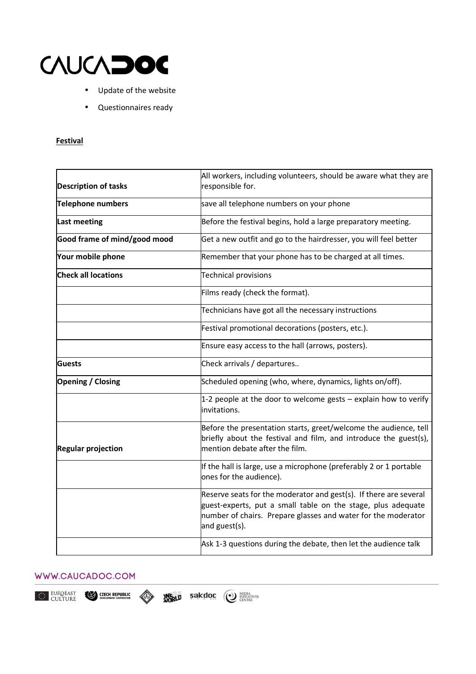

- Update of the website
- Questionnaires ready

### **Festival**

|                              | All workers, including volunteers, should be aware what they are                                                                                                                                                    |
|------------------------------|---------------------------------------------------------------------------------------------------------------------------------------------------------------------------------------------------------------------|
| <b>Description of tasks</b>  | responsible for.                                                                                                                                                                                                    |
| <b>Telephone numbers</b>     | save all telephone numbers on your phone                                                                                                                                                                            |
| <b>Last meeting</b>          | Before the festival begins, hold a large preparatory meeting.                                                                                                                                                       |
| Good frame of mind/good mood | Get a new outfit and go to the hairdresser, you will feel better                                                                                                                                                    |
| Your mobile phone            | Remember that your phone has to be charged at all times.                                                                                                                                                            |
| <b>Check all locations</b>   | <b>Technical provisions</b>                                                                                                                                                                                         |
|                              | Films ready (check the format).                                                                                                                                                                                     |
|                              | Technicians have got all the necessary instructions                                                                                                                                                                 |
|                              | Festival promotional decorations (posters, etc.).                                                                                                                                                                   |
|                              | Ensure easy access to the hall (arrows, posters).                                                                                                                                                                   |
| Guests                       | Check arrivals / departures                                                                                                                                                                                         |
| <b>Opening / Closing</b>     | Scheduled opening (who, where, dynamics, lights on/off).                                                                                                                                                            |
|                              | 1-2 people at the door to welcome gests - explain how to verify<br>invitations.                                                                                                                                     |
| <b>Regular projection</b>    | Before the presentation starts, greet/welcome the audience, tell<br>briefly about the festival and film, and introduce the guest(s),<br>mention debate after the film.                                              |
|                              | If the hall is large, use a microphone (preferably 2 or 1 portable<br>ones for the audience).                                                                                                                       |
|                              | Reserve seats for the moderator and gest(s). If there are several<br>guest-experts, put a small table on the stage, plus adequate<br>number of chairs. Prepare glasses and water for the moderator<br>and guest(s). |
|                              | Ask 1-3 questions during the debate, then let the audience talk                                                                                                                                                     |

### WWW.CAUCADOC.COM

EUROEAST<br>CULTURE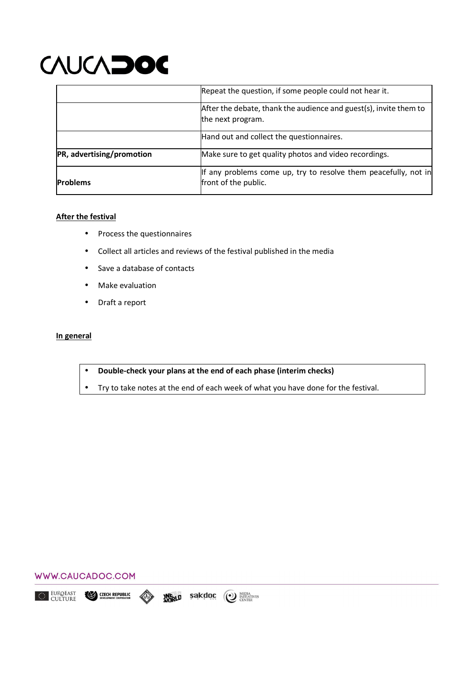|                           | Repeat the question, if some people could not hear it.                                  |
|---------------------------|-----------------------------------------------------------------------------------------|
|                           | After the debate, thank the audience and guest(s), invite them to<br>the next program.  |
|                           | Hand out and collect the questionnaires.                                                |
| PR, advertising/promotion | Make sure to get quality photos and video recordings.                                   |
| <b>Problems</b>           | If any problems come up, try to resolve them peacefully, not in<br>front of the public. |

#### **After the festival**

- Process the questionnaires
- Collect all articles and reviews of the festival published in the media
- Save a database of contacts
- Make evaluation
- Draft a report

#### **In general**

- **Double-check your plans at the end of each phase (interim checks)**
- Try to take notes at the end of each week of what you have done for the festival.



EUROEAST<br>CULTURE **INFRLD Sakdoc (O) MEDIA ANTITATIVES CZECH REPUBLIC**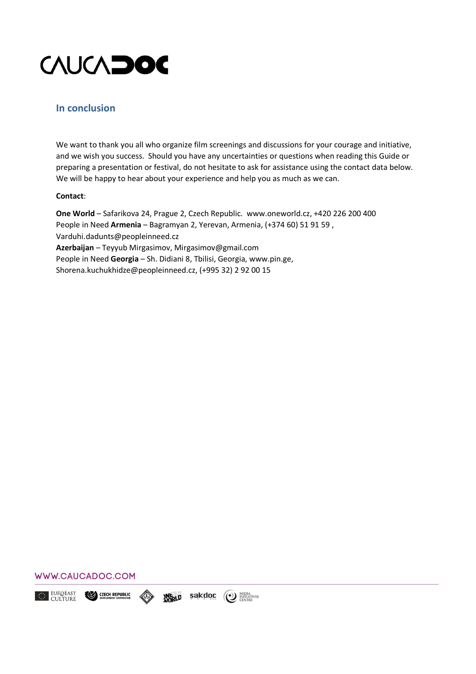

### **In conclusion**

We want to thank you all who organize film screenings and discussions for your courage and initiative, and we wish you success. Should you have any uncertainties or questions when reading this Guide or preparing a presentation or festival, do not hesitate to ask for assistance using the contact data below. We will be happy to hear about your experience and help you as much as we can.

#### **Contact**:

**One World** – Safarikova 24, Prague 2, Czech Republic. www.oneworld.cz, +420 226 200 400 People in Need **Armenia** – Bagramyan 2, Yerevan, Armenia, (+374 60) 51 91 59 , Varduhi.dadunts@peopleinneed.cz **Azerbaijan** – Teyyub Mirgasimov, Mirgasimov@gmail.com People in Need **Georgia** – Sh. Didiani 8, Tbilisi, Georgia, www.pin.ge, Shorena.kuchukhidze@peopleinneed.cz, (+995 32) 2 92 00 15

#### WWW.CAUCADOC.COM

EUROEAST CZECH REPUBLIC sakdoc (<sup>o</sup>) MEDIA<br>
CENTER **JNE LD**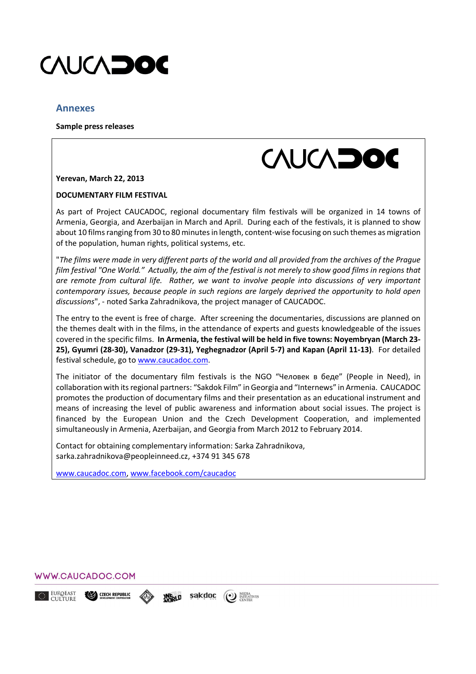

### **Annexes**

**Sample press releases** 



**Yerevan, March 22, 2013** 

#### **DOCUMENTARY FILM FESTIVAL**

As part of Project CAUCADOC, regional documentary film festivals will be organized in 14 towns of Armenia, Georgia, and Azerbaijan in March and April. During each of the festivals, it is planned to show about 10 films ranging from 30 to 80 minutes in length, content-wise focusing on such themes as migration of the population, human rights, political systems, etc.

"*The films were made in very different parts of the world and all provided from the archives of the Prague film festival "Оne World." Actually, the aim of the festival is not merely to show good films in regions that are remote from cultural life. Rather, we want to involve people into discussions of very important contemporary issues, because people in such regions are largely deprived the opportunity to hold open discussions*", - noted Sarka Zahradnikova, the project manager of CAUCADOC.

The entry to the event is free of charge. After screening the documentaries, discussions are planned on the themes dealt with in the films, in the attendance of experts and guests knowledgeable of the issues covered in the specific films. **In Armenia, the festival will be held in five towns: Noyembryan (March 23- 25), Gyumri (28-30), Vanadzor (29-31), Yeghegnadzor (April 5-7) and Kapan (April 11-13)**. For detailed festival schedule, go to www.caucadoc.com.

The initiator of the documentary film festivals is the NGO "Человек в беде" (People in Need), in collaboration with its regional partners: "Sakdok Film" in Georgia and "Internews" in Armenia. CAUCADOC promotes the production of documentary films and their presentation as an educational instrument and means of increasing the level of public awareness and information about social issues. The project is financed by the European Union and the Czech Development Cooperation, and implemented simultaneously in Armenia, Azerbaijan, and Georgia from March 2012 to February 2014.

Contact for obtaining complementary information: Sarka Zahradnikova, sarka.zahradnikova@peopleinneed.cz, +374 91 345 678

sakdoc

**INFOLD** 

(1) MEDIA

www.caucadoc.com, www.facebook.com/caucadoc



CZECH REPUBLIC

EUROEAST